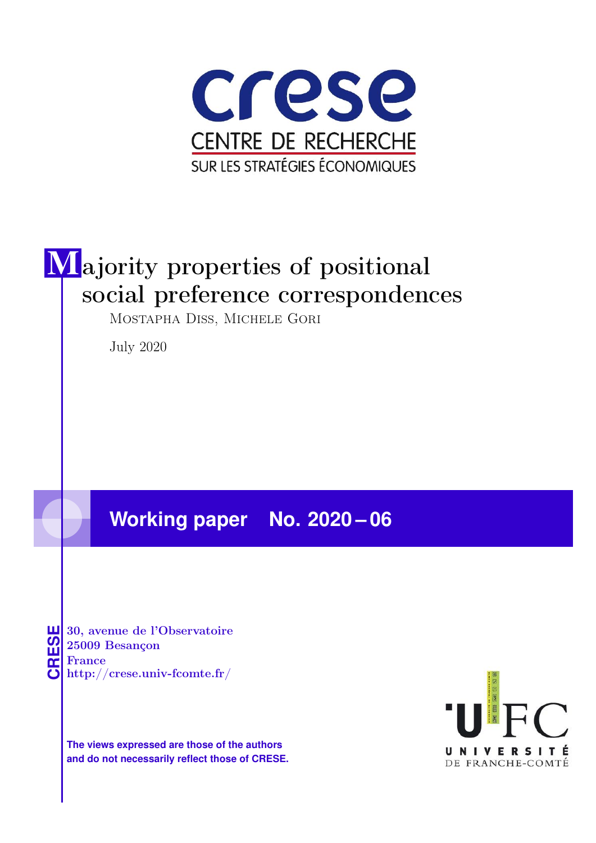

# Majority properties of positional social preference correspondences

Mostapha Diss, Michele Gori

July 2020

# **Working paper No. 2020 – 06**

**CRESE**30, avenue de l'Observatoire 25009 Besançon France http://crese.univ-fcomte.fr/

**The views expressed are those of the authors and do not necessarily reflect those of CRESE.**

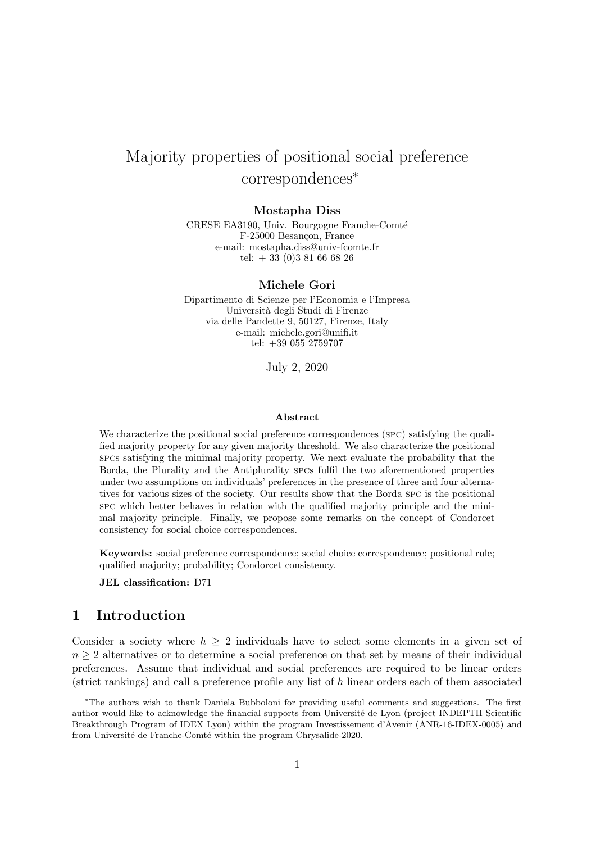## Majority properties of positional social preference correspondences<sup>∗</sup>

#### Mostapha Diss

CRESE EA3190, Univ. Bourgogne Franche-Comté F-25000 Besançon, France e-mail: mostapha.diss@univ-fcomte.fr tel:  $+ 33 (0)3 81 66 68 26$ 

#### Michele Gori

Dipartimento di Scienze per l'Economia e l'Impresa Università degli Studi di Firenze via delle Pandette 9, 50127, Firenze, Italy e-mail: michele.gori@unifi.it tel: +39 055 2759707

July 2, 2020

#### Abstract

We characterize the positional social preference correspondences (spc) satisfying the qualified majority property for any given majority threshold. We also characterize the positional spcs satisfying the minimal majority property. We next evaluate the probability that the Borda, the Plurality and the Antiplurality spcs fulfil the two aforementioned properties under two assumptions on individuals' preferences in the presence of three and four alternatives for various sizes of the society. Our results show that the Borda spc is the positional spc which better behaves in relation with the qualified majority principle and the minimal majority principle. Finally, we propose some remarks on the concept of Condorcet consistency for social choice correspondences.

Keywords: social preference correspondence; social choice correspondence; positional rule; qualified majority; probability; Condorcet consistency.

JEL classification: D71

## 1 Introduction

Consider a society where  $h \geq 2$  individuals have to select some elements in a given set of  $n \geq 2$  alternatives or to determine a social preference on that set by means of their individual preferences. Assume that individual and social preferences are required to be linear orders (strict rankings) and call a preference profile any list of h linear orders each of them associated

<sup>∗</sup>The authors wish to thank Daniela Bubboloni for providing useful comments and suggestions. The first author would like to acknowledge the financial supports from Université de Lyon (project INDEPTH Scientific Breakthrough Program of IDEX Lyon) within the program Investissement d'Avenir (ANR-16-IDEX-0005) and from Université de Franche-Comté within the program Chrysalide-2020.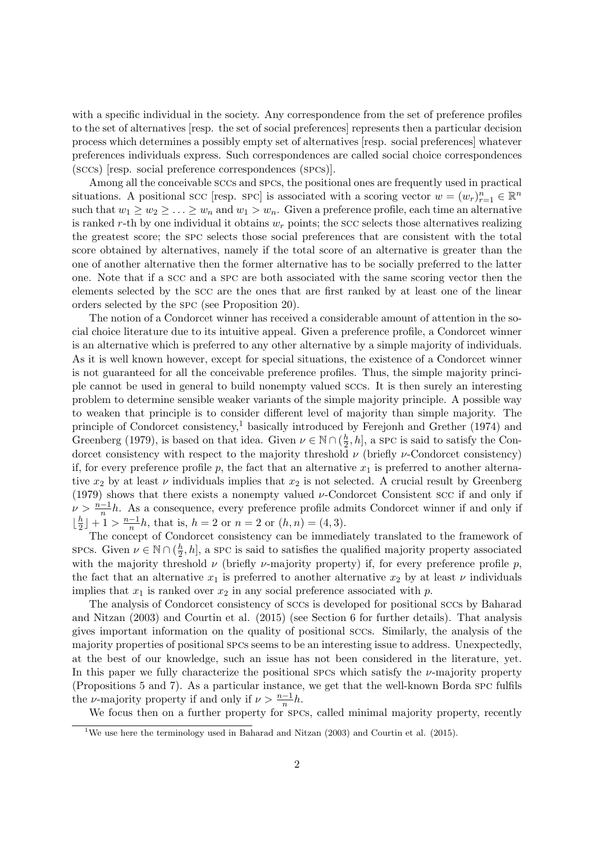with a specific individual in the society. Any correspondence from the set of preference profiles to the set of alternatives [resp. the set of social preferences] represents then a particular decision process which determines a possibly empty set of alternatives [resp. social preferences] whatever preferences individuals express. Such correspondences are called social choice correspondences (sccs) [resp. social preference correspondences (spcs)].

Among all the conceivable sccs and spcs, the positional ones are frequently used in practical situations. A positional scc [resp. spc] is associated with a scoring vector  $w = (w_r)_{r=1}^n \in \mathbb{R}^n$ such that  $w_1 \geq w_2 \geq \ldots \geq w_n$  and  $w_1 > w_n$ . Given a preference profile, each time an alternative is ranked r-th by one individual it obtains  $w_r$  points; the scc selects those alternatives realizing the greatest score; the spc selects those social preferences that are consistent with the total score obtained by alternatives, namely if the total score of an alternative is greater than the one of another alternative then the former alternative has to be socially preferred to the latter one. Note that if a scc and a spc are both associated with the same scoring vector then the elements selected by the scc are the ones that are first ranked by at least one of the linear orders selected by the spc (see Proposition 20).

The notion of a Condorcet winner has received a considerable amount of attention in the social choice literature due to its intuitive appeal. Given a preference profile, a Condorcet winner is an alternative which is preferred to any other alternative by a simple majority of individuals. As it is well known however, except for special situations, the existence of a Condorcet winner is not guaranteed for all the conceivable preference profiles. Thus, the simple majority principle cannot be used in general to build nonempty valued sccs. It is then surely an interesting problem to determine sensible weaker variants of the simple majority principle. A possible way to weaken that principle is to consider different level of majority than simple majority. The principle of Condorcet consistency,<sup>1</sup> basically introduced by Ferejonh and Grether (1974) and Greenberg (1979), is based on that idea. Given  $\nu \in \mathbb{N} \cap (\frac{h}{2})$  $\frac{h}{2}$ , h, a SPC is said to satisfy the Condorcet consistency with respect to the majority threshold  $\nu$  (briefly  $\nu$ -Condorcet consistency) if, for every preference profile p, the fact that an alternative  $x_1$  is preferred to another alternative  $x_2$  by at least  $\nu$  individuals implies that  $x_2$  is not selected. A crucial result by Greenberg (1979) shows that there exists a nonempty valued  $\nu$ -Condorcet Consistent scc if and only if  $\nu > \frac{n-1}{n}h$ . As a consequence, every preference profile admits Condorcet winner if and only if  $\lfloor \frac{h}{2}$  $\frac{h}{2}$  | + 1 >  $\frac{n-1}{n}h$ , that is,  $h = 2$  or  $n = 2$  or  $(h, n) = (4, 3)$ .

The concept of Condorcet consistency can be immediately translated to the framework of spcs. Given  $\nu \in \mathbb{N} \cap (\frac{h}{2})$  $\frac{h}{2}$ , h, a SPC is said to satisfies the qualified majority property associated with the majority threshold  $\nu$  (briefly  $\nu$ -majority property) if, for every preference profile p, the fact that an alternative  $x_1$  is preferred to another alternative  $x_2$  by at least  $\nu$  individuals implies that  $x_1$  is ranked over  $x_2$  in any social preference associated with p.

The analysis of Condorcet consistency of sccs is developed for positional sccs by Baharad and Nitzan (2003) and Courtin et al. (2015) (see Section 6 for further details). That analysis gives important information on the quality of positional sccs. Similarly, the analysis of the majority properties of positional spcs seems to be an interesting issue to address. Unexpectedly, at the best of our knowledge, such an issue has not been considered in the literature, yet. In this paper we fully characterize the positional spcs which satisfy the  $\nu$ -majority property (Propositions 5 and 7). As a particular instance, we get that the well-known Borda spc fulfils the *ν*-majority property if and only if  $\nu > \frac{n-1}{n}h$ .

We focus then on a further property for spcs, called minimal majority property, recently

<sup>&</sup>lt;sup>1</sup>We use here the terminology used in Baharad and Nitzan  $(2003)$  and Courtin et al.  $(2015)$ .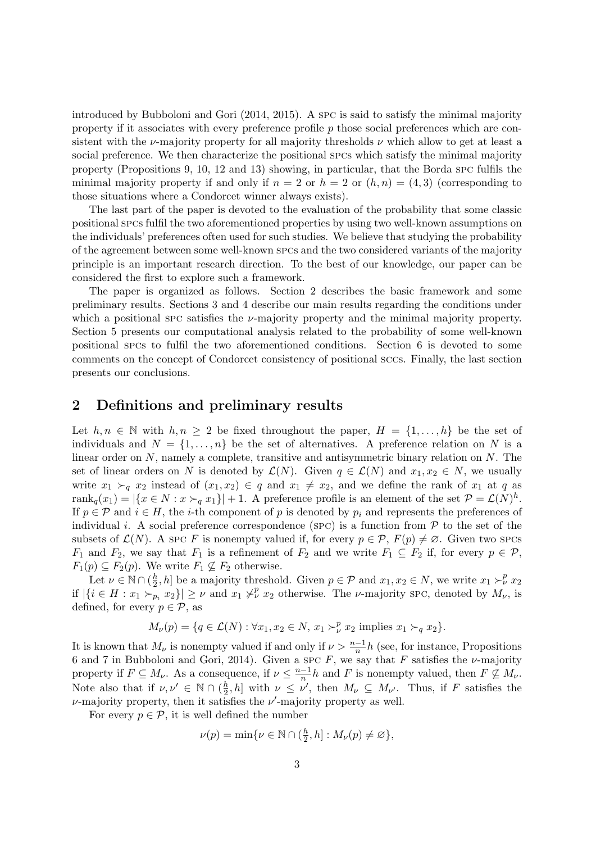introduced by Bubboloni and Gori (2014, 2015). A spc is said to satisfy the minimal majority property if it associates with every preference profile p those social preferences which are consistent with the  $\nu$ -majority property for all majority thresholds  $\nu$  which allow to get at least a social preference. We then characterize the positional spcs which satisfy the minimal majority property (Propositions 9, 10, 12 and 13) showing, in particular, that the Borda spc fulfils the minimal majority property if and only if  $n = 2$  or  $h = 2$  or  $(h, n) = (4, 3)$  (corresponding to those situations where a Condorcet winner always exists).

The last part of the paper is devoted to the evaluation of the probability that some classic positional spcs fulfil the two aforementioned properties by using two well-known assumptions on the individuals' preferences often used for such studies. We believe that studying the probability of the agreement between some well-known spcs and the two considered variants of the majority principle is an important research direction. To the best of our knowledge, our paper can be considered the first to explore such a framework.

The paper is organized as follows. Section 2 describes the basic framework and some preliminary results. Sections 3 and 4 describe our main results regarding the conditions under which a positional spc satisfies the  $\nu$ -majority property and the minimal majority property. Section 5 presents our computational analysis related to the probability of some well-known positional spcs to fulfil the two aforementioned conditions. Section 6 is devoted to some comments on the concept of Condorcet consistency of positional sccs. Finally, the last section presents our conclusions.

## 2 Definitions and preliminary results

Let  $h, n \in \mathbb{N}$  with  $h, n \geq 2$  be fixed throughout the paper,  $H = \{1, \ldots, h\}$  be the set of individuals and  $N = \{1, \ldots, n\}$  be the set of alternatives. A preference relation on N is a linear order on N, namely a complete, transitive and antisymmetric binary relation on N. The set of linear orders on N is denoted by  $\mathcal{L}(N)$ . Given  $q \in \mathcal{L}(N)$  and  $x_1, x_2 \in N$ , we usually write  $x_1 \succ_q x_2$  instead of  $(x_1, x_2) \in q$  and  $x_1 \neq x_2$ , and we define the rank of  $x_1$  at q as rank $_q(x_1) = |\{x \in N : x \succ_q x_1\}| + 1$ . A preference profile is an element of the set  $P = \mathcal{L}(N)^h$ . If  $p \in \mathcal{P}$  and  $i \in H$ , the *i*-th component of p is denoted by  $p_i$  and represents the preferences of individual i. A social preference correspondence (SPC) is a function from  $P$  to the set of the subsets of  $\mathcal{L}(N)$ . A spc F is nonempty valued if, for every  $p \in \mathcal{P}$ ,  $F(p) \neq \emptyset$ . Given two spcs  $F_1$  and  $F_2$ , we say that  $F_1$  is a refinement of  $F_2$  and we write  $F_1 \subseteq F_2$  if, for every  $p \in \mathcal{P}$ ,  $F_1(p) \subseteq F_2(p)$ . We write  $F_1 \nsubseteq F_2$  otherwise.

Let  $\nu \in \mathbb{N} \cap (\frac{h}{2})$  $(\frac{h}{2}, h]$  be a majority threshold. Given  $p \in \mathcal{P}$  and  $x_1, x_2 \in N$ , we write  $x_1 \succ^p_{\nu} x_2$ if  $|\{i \in H : x_1 \succ_{p_i} x_2\}| \geq \nu$  and  $x_1 \not\succ_{\nu}^p x_2$  otherwise. The  $\nu$ -majority SPC, denoted by  $M_{\nu}$ , is defined, for every  $p \in \mathcal{P}$ , as

$$
M_{\nu}(p) = \{q \in \mathcal{L}(N) : \forall x_1, x_2 \in N, x_1 \succ_{\nu}^p x_2 \text{ implies } x_1 \succ_q x_2\}.
$$

It is known that  $M_{\nu}$  is nonempty valued if and only if  $\nu > \frac{n-1}{n}h$  (see, for instance, Propositions 6 and 7 in Bubboloni and Gori, 2014). Given a spc  $F$ , we say that  $F$  satisfies the  $\nu$ -majority property if  $F \subseteq M_{\nu}$ . As a consequence, if  $\nu \leq \frac{n-1}{n}h$  and F is nonempty valued, then  $F \nsubseteq M_{\nu}$ . Note also that if  $\nu, \nu' \in \mathbb{N} \cap (\frac{h}{2})$  $\frac{h}{2}, h$  with  $\nu \leq \nu'$ , then  $M_{\nu} \subseteq M_{\nu'}$ . Thus, if F satisfies the  $\nu$ -majority property, then it satisfies the  $\nu'$ -majority property as well.

For every  $p \in \mathcal{P}$ , it is well defined the number

$$
\nu(p) = \min\{\nu \in \mathbb{N} \cap (\frac{h}{2}, h] : M_{\nu}(p) \neq \varnothing\},\
$$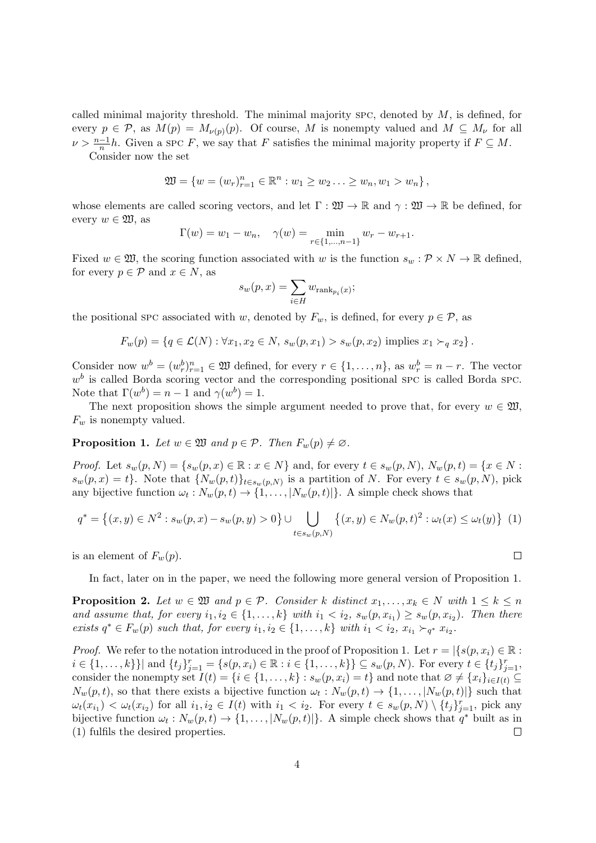called minimal majority threshold. The minimal majority spc, denoted by  $M$ , is defined, for every  $p \in \mathcal{P}$ , as  $M(p) = M_{\nu(p)}(p)$ . Of course, M is nonempty valued and  $M \subseteq M_{\nu}$  for all  $\nu > \frac{n-1}{n}h$ . Given a spc F, we say that F satisfies the minimal majority property if  $F \subseteq M$ .

Consider now the set

$$
\mathfrak{W} = \{ w = (w_r)_{r=1}^n \in \mathbb{R}^n : w_1 \ge w_2 \ldots \ge w_n, w_1 > w_n \},
$$

whose elements are called scoring vectors, and let  $\Gamma : \mathfrak{W} \to \mathbb{R}$  and  $\gamma : \mathfrak{W} \to \mathbb{R}$  be defined, for every  $w \in \mathfrak{W}$ , as

$$
\Gamma(w) = w_1 - w_n, \quad \gamma(w) = \min_{r \in \{1, \dots, n-1\}} w_r - w_{r+1}.
$$

Fixed  $w \in \mathfrak{W}$ , the scoring function associated with w is the function  $s_w : \mathcal{P} \times N \to \mathbb{R}$  defined, for every  $p \in \mathcal{P}$  and  $x \in N$ , as

$$
s_w(p,x) = \sum_{i \in H} w_{\text{rank}_{p_i}(x)};
$$

the positional spc associated with w, denoted by  $F_w$ , is defined, for every  $p \in \mathcal{P}$ , as

$$
F_w(p) = \{ q \in \mathcal{L}(N) : \forall x_1, x_2 \in N, s_w(p, x_1) > s_w(p, x_2) \text{ implies } x_1 \succ_q x_2 \}.
$$

Consider now  $w^b = (w_r^b)_{r=1}^n \in \mathfrak{W}$  defined, for every  $r \in \{1, \ldots, n\}$ , as  $w_r^b = n - r$ . The vector  $w<sup>b</sup>$  is called Borda scoring vector and the corresponding positional SPC is called Borda SPC. Note that  $\Gamma(w^b) = n - 1$  and  $\gamma(w^b) = 1$ .

The next proposition shows the simple argument needed to prove that, for every  $w \in \mathfrak{W}$ ,  $F_w$  is nonempty valued.

**Proposition 1.** Let  $w \in \mathfrak{W}$  and  $p \in \mathcal{P}$ . Then  $F_w(p) \neq \emptyset$ .

*Proof.* Let  $s_w(p, N) = \{s_w(p, x) \in \mathbb{R} : x \in N\}$  and, for every  $t \in s_w(p, N)$ ,  $N_w(p, t) = \{x \in N : x \in N\}$  $s_w(p,x) = t$ . Note that  $\{N_w(p,t)\}_{t \in s_w(p,N)}$  is a partition of N. For every  $t \in s_w(p,N)$ , pick any bijective function  $\omega_t : N_w(p, t) \to \{1, \ldots, |N_w(p, t)|\}$ . A simple check shows that

$$
q^* = \{(x, y) \in N^2 : s_w(p, x) - s_w(p, y) > 0\} \cup \bigcup_{t \in s_w(p, N)} \{(x, y) \in N_w(p, t)^2 : \omega_t(x) \le \omega_t(y)\} \tag{1}
$$

is an element of  $F_w(p)$ .

In fact, later on in the paper, we need the following more general version of Proposition 1.

**Proposition 2.** Let  $w \in \mathfrak{W}$  and  $p \in \mathcal{P}$ . Consider k distinct  $x_1, \ldots, x_k \in N$  with  $1 \leq k \leq n$ and assume that, for every  $i_1, i_2 \in \{1, \ldots, k\}$  with  $i_1 < i_2$ ,  $s_w(p, x_{i_1}) \geq s_w(p, x_{i_2})$ . Then there *exists*  $q^*$  ∈  $F_w(p)$  such that, for every  $i_1, i_2$  ∈ {1, ..., k} with  $i_1 < i_2$ ,  $x_{i_1} >_{q^*} x_{i_2}$ .

*Proof.* We refer to the notation introduced in the proof of Proposition 1. Let  $r = |\{s(p, x_i) \in \mathbb{R} :$  $i \in \{1, ..., k\}\}\]$  and  $\{t_j\}_{j=1}^r = \{s(p, x_i) \in \mathbb{R} : i \in \{1, ..., k\}\}\subseteq s_w(p, N)$ . For every  $t \in \{t_j\}_{j=1}^r$ , consider the nonempty set  $I(t) = \{i \in \{1, ..., k\} : s_w(p, x_i) = t\}$  and note that  $\emptyset \neq \{x_i\}_{i \in I(t)} \subseteq$  $N_w(p,t)$ , so that there exists a bijective function  $\omega_t : N_w(p,t) \to \{1, \ldots, |N_w(p,t)|\}$  such that  $\omega_t(x_{i_1}) < \omega_t(x_{i_2})$  for all  $i_1, i_2 \in I(t)$  with  $i_1 < i_2$ . For every  $t \in s_w(p, N) \setminus \{t_j\}_{j=1}^r$ , pick any bijective function  $\omega_t : N_w(p, t) \to \{1, ..., |N_w(p, t)|\}$ . A simple check shows that  $q^*$  built as in (1) fulfils the desired properties.  $\Box$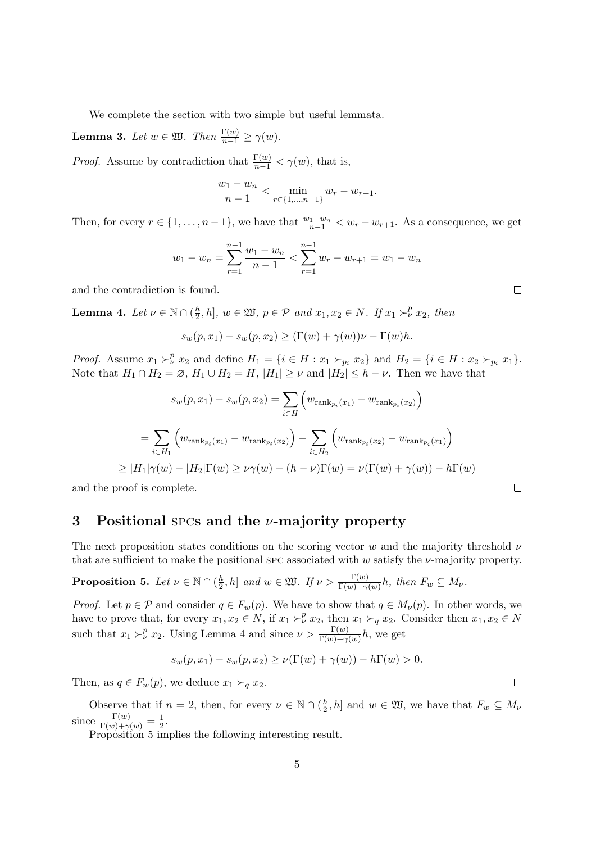We complete the section with two simple but useful lemmata.

**Lemma 3.** Let  $w \in \mathfrak{W}$ . Then  $\frac{\Gamma(w)}{n-1} \geq \gamma(w)$ .

*Proof.* Assume by contradiction that  $\frac{\Gamma(w)}{n-1} < \gamma(w)$ , that is,

$$
\frac{w_1 - w_n}{n - 1} < \min_{r \in \{1, \dots, n-1\}} w_r - w_{r+1}.
$$

Then, for every  $r \in \{1, \ldots, n-1\}$ , we have that  $\frac{w_1 - w_n}{n-1} < w_r - w_{r+1}$ . As a consequence, we get

$$
w_1 - w_n = \sum_{r=1}^{n-1} \frac{w_1 - w_n}{n-1} < \sum_{r=1}^{n-1} w_r - w_{r+1} = w_1 - w_n
$$

and the contradiction is found.

**Lemma 4.** Let  $\nu \in \mathbb{N} \cap (\frac{h}{2})$  $\frac{h}{2}, h$ ,  $w \in \mathfrak{W}, p \in \mathcal{P}$  and  $x_1, x_2 \in N$ . If  $x_1 \succ^p_\nu x_2$ , then

$$
s_w(p, x_1) - s_w(p, x_2) \ge (\Gamma(w) + \gamma(w))\nu - \Gamma(w)h.
$$

*Proof.* Assume  $x_1 \succ^p_{\nu} x_2$  and define  $H_1 = \{i \in H : x_1 \succ_{p_i} x_2\}$  and  $H_2 = \{i \in H : x_2 \succ_{p_i} x_1\}.$ Note that  $H_1 \cap H_2 = \emptyset$ ,  $H_1 \cup H_2 = H$ ,  $|H_1| \geq \nu$  and  $|H_2| \leq h - \nu$ . Then we have that

$$
s_w(p, x_1) - s_w(p, x_2) = \sum_{i \in H} \left( w_{\text{rank}_{p_i}(x_1)} - w_{\text{rank}_{p_i}(x_2)} \right)
$$
  
= 
$$
\sum_{i \in H_1} \left( w_{\text{rank}_{p_i}(x_1)} - w_{\text{rank}_{p_i}(x_2)} \right) - \sum_{i \in H_2} \left( w_{\text{rank}_{p_i}(x_2)} - w_{\text{rank}_{p_i}(x_1)} \right)
$$
  

$$
\geq |H_1|\gamma(w) - |H_2|\Gamma(w) \geq \nu\gamma(w) - (h - \nu)\Gamma(w) = \nu(\Gamma(w) + \gamma(w)) - h\Gamma(w)
$$

and the proof is complete.

## 3 Positional spcs and the  $\nu$ -majority property

The next proposition states conditions on the scoring vector w and the majority threshold  $\nu$ that are sufficient to make the positional spc associated with w satisfy the  $\nu$ -majority property.

Proposition 5. Let  $\nu\in\mathbb{N}\cap(\frac{h}{2})$  $\frac{h}{2}$ , h] and  $w \in \mathfrak{W}$ . If  $\nu > \frac{\Gamma(w)}{\Gamma(w)+\gamma(w)}h$ , then  $F_w \subseteq M_{\nu}$ .

*Proof.* Let  $p \in \mathcal{P}$  and consider  $q \in F_w(p)$ . We have to show that  $q \in M_{\nu}(p)$ . In other words, we have to prove that, for every  $x_1, x_2 \in N$ , if  $x_1 \succ^p_\nu x_2$ , then  $x_1 \succ_q x_2$ . Consider then  $x_1, x_2 \in N$ such that  $x_1 \succ^p_\nu x_2$ . Using Lemma 4 and since  $\nu > \frac{\Gamma(w)}{\Gamma(w) + \gamma(w)} h$ , we get

$$
s_w(p, x_1) - s_w(p, x_2) \ge \nu(\Gamma(w) + \gamma(w)) - h\Gamma(w) > 0.
$$

Then, as  $q \in F_w(p)$ , we deduce  $x_1 \succ_q x_2$ .

Observe that if  $n = 2$ , then, for every  $\nu \in \mathbb{N} \cap (\frac{h}{2})$  $\left[\frac{h}{2}, h\right]$  and  $w \in \mathfrak{W}$ , we have that  $F_w \subseteq M_\nu$ since  $\frac{\Gamma(w)}{\Gamma(w)+\gamma(w)}=\frac{1}{2}$  $rac{1}{2}$ .

Proposition 5 implies the following interesting result.

 $\Box$ 

 $\Box$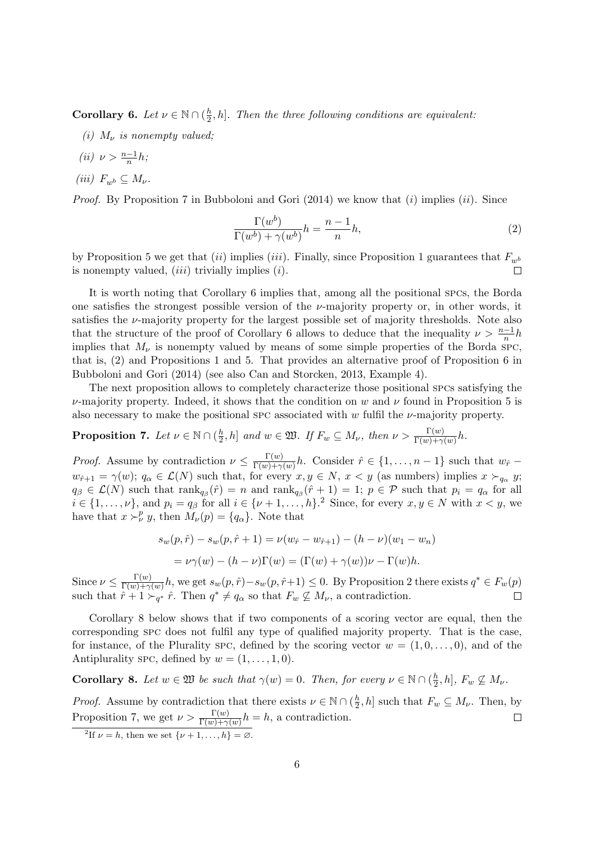**Corollary 6.** Let  $\nu \in \mathbb{N} \cap (\frac{h}{2})$  $\frac{h}{2}$ , h]. Then the three following conditions are equivalent:

(i)  $M_{\nu}$  is nonempty valued;

$$
(ii) \ \nu > \frac{n-1}{n}h;
$$

(iii)  $F_{w^b} \subseteq M_{\nu}$ .

*Proof.* By Proposition 7 in Bubboloni and Gori (2014) we know that  $(i)$  implies  $(ii)$ . Since

$$
\frac{\Gamma(w^b)}{\Gamma(w^b) + \gamma(w^b)} h = \frac{n-1}{n}h,\tag{2}
$$

by Proposition 5 we get that (ii) implies (iii). Finally, since Proposition 1 guarantees that  $F_{w^b}$ is nonempty valued,  $(iii)$  trivially implies  $(i)$ .  $\Box$ 

It is worth noting that Corollary 6 implies that, among all the positional spcs, the Borda one satisfies the strongest possible version of the  $\nu$ -majority property or, in other words, it satisfies the  $\nu$ -majority property for the largest possible set of majority thresholds. Note also that the structure of the proof of Corollary 6 allows to deduce that the inequality  $\nu > \frac{n-1}{n}h$ implies that  $M_{\nu}$  is nonempty valued by means of some simple properties of the Borda SPC, that is, (2) and Propositions 1 and 5. That provides an alternative proof of Proposition 6 in Bubboloni and Gori (2014) (see also Can and Storcken, 2013, Example 4).

The next proposition allows to completely characterize those positional spcs satisfying the  $\nu$ -majority property. Indeed, it shows that the condition on w and  $\nu$  found in Proposition 5 is also necessary to make the positional spc associated with w fulfil the  $\nu$ -majority property.

#### Proposition 7. Let  $\nu\in\mathbb{N}\cap(\frac{h}{2})$  $\frac{h}{2}$ , h] and  $w \in \mathfrak{W}$ . If  $F_w \subseteq M_\nu$ , then  $\nu > \frac{\Gamma(w)}{\Gamma(w)+\gamma(w)}h$ .

*Proof.* Assume by contradiction  $\nu \leq \frac{\Gamma(w)}{\Gamma(w)+\gamma}$  $\frac{\Gamma(w)}{\Gamma(w)+\gamma(w)}h$ . Consider  $\hat{r} \in \{1,\ldots,n-1\}$  such that  $w_{\hat{r}}$  $w_{\hat{r}+1} = \gamma(w)$ ;  $q_\alpha \in \mathcal{L}(N)$  such that, for every  $x, y \in N$ ,  $x < y$  (as numbers) implies  $x \succ_{q_\alpha} y$ ;  $q_{\beta} \in \mathcal{L}(N)$  such that  $\text{rank}_{q_{\beta}}(\hat{r}) = n$  and  $\text{rank}_{q_{\beta}}(\hat{r}+1) = 1$ ;  $p \in \mathcal{P}$  such that  $p_i = q_{\alpha}$  for all  $i \in \{1, \ldots, \nu\}$ , and  $p_i = q_\beta$  for all  $i \in \{\nu + 1, \ldots, h\}$ . Since, for every  $x, y \in N$  with  $x < y$ , we have that  $x \succ^p_{\nu} y$ , then  $M_{\nu}(p) = \{q_{\alpha}\}\.$  Note that

$$
s_w(p, \hat{r}) - s_w(p, \hat{r} + 1) = \nu(w_{\hat{r}} - w_{\hat{r}+1}) - (h - \nu)(w_1 - w_n)
$$
  
=  $\nu \gamma(w) - (h - \nu)\Gamma(w) = (\Gamma(w) + \gamma(w))\nu - \Gamma(w)h.$ 

Since  $\nu \leq \frac{\Gamma(w)}{\Gamma(w)+\gamma}$  $\frac{\Gamma(w)}{\Gamma(w)+\gamma(w)}h$ , we get  $s_w(p,\hat{r})-s_w(p,\hat{r}+1) \leq 0$ . By Proposition 2 there exists  $q^* \in F_w(p)$ such that  $\hat{r} + 1 \succ_{q^*} \hat{r}$ . Then  $q^* \neq q_\alpha$  so that  $F_w \not\subseteq M_\nu$ , a contradiction.

Corollary 8 below shows that if two components of a scoring vector are equal, then the corresponding spc does not fulfil any type of qualified majority property. That is the case, for instance, of the Plurality spc, defined by the scoring vector  $w = (1, 0, \ldots, 0)$ , and of the Antiplurality spc, defined by  $w = (1, \ldots, 1, 0)$ .

**Corollary 8.** Let  $w \in \mathfrak{W}$  be such that  $\gamma(w) = 0$ . Then, for every  $v \in \mathbb{N} \cap (\frac{h}{2})$  $\frac{h}{2}, h$ ,  $F_w \not\subseteq M_{\nu}$ .

*Proof.* Assume by contradiction that there exists  $\nu \in \mathbb{N} \cap (\frac{h}{2})$  $\frac{n}{2}, h$  such that  $F_w \subseteq M_{\nu}$ . Then, by Proposition 7, we get  $\nu > \frac{\Gamma(w)}{\Gamma(w)+\gamma(w)}h = h$ , a contradiction.  $\Box$ 

<sup>&</sup>lt;sup>2</sup>If  $\nu = h$ , then we set  $\{\nu + 1, \ldots, h\} = \emptyset$ .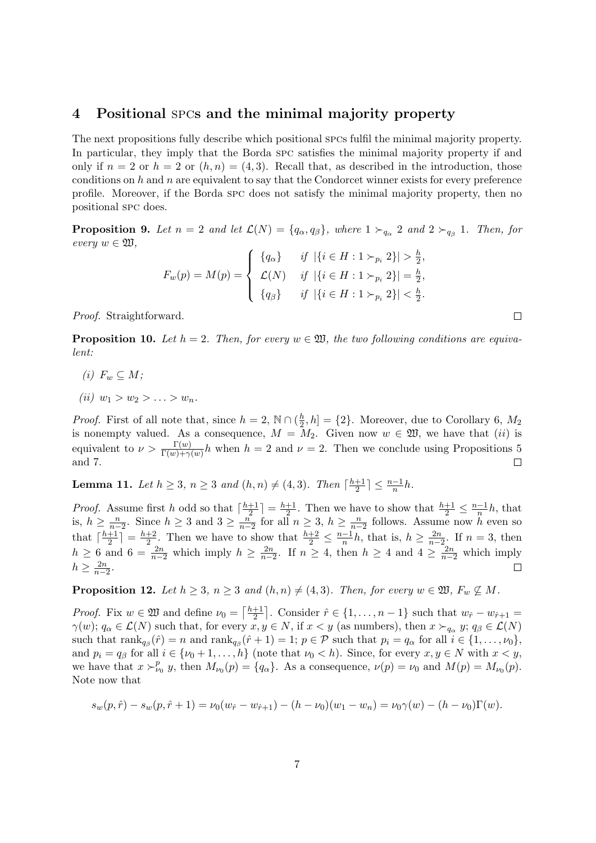### 4 Positional spcs and the minimal majority property

The next propositions fully describe which positional spcs fulfil the minimal majority property. In particular, they imply that the Borda spc satisfies the minimal majority property if and only if  $n = 2$  or  $h = 2$  or  $(h, n) = (4, 3)$ . Recall that, as described in the introduction, those conditions on  $h$  and  $n$  are equivalent to say that the Condorcet winner exists for every preference profile. Moreover, if the Borda spc does not satisfy the minimal majority property, then no positional spc does.

**Proposition 9.** Let  $n = 2$  and let  $\mathcal{L}(N) = \{q_\alpha, q_\beta\}$ , where  $1 \succ_{q_\alpha} 2$  and  $2 \succ_{q_\beta} 1$ . Then, for every  $w \in \mathfrak{W}$ ,

$$
F_w(p) = M(p) = \begin{cases} \{q_\alpha\} & \text{if } |\{i \in H : 1 \succ_{p_i} 2\}| > \frac{h}{2}, \\ \mathcal{L}(N) & \text{if } |\{i \in H : 1 \succ_{p_i} 2\}| = \frac{h}{2}, \\ \{q_\beta\} & \text{if } |\{i \in H : 1 \succ_{p_i} 2\}| < \frac{h}{2}. \end{cases}
$$

Proof. Straightforward.

**Proposition 10.** Let  $h = 2$ . Then, for every  $w \in \mathfrak{W}$ , the two following conditions are equivalent:

- (i)  $F_w \subseteq M$ ;
- (ii)  $w_1 > w_2 > \ldots > w_n$ .

*Proof.* First of all note that, since  $h = 2$ ,  $\mathbb{N} \cap (\frac{h}{2})$  $\left[\frac{h}{2}, h\right] = \{2\}.$  Moreover, due to Corollary 6,  $M_2$ is nonempty valued. As a consequence,  $M = M_2$ . Given now  $w \in \mathfrak{W}$ , we have that (ii) is equivalent to  $\nu > \frac{\Gamma(w)}{\Gamma(w)+\gamma(w)}h$  when  $h = 2$  and  $\nu = 2$ . Then we conclude using Propositions 5 and 7.  $\Box$ 

**Lemma 11.** Let  $h \geq 3$ ,  $n \geq 3$  and  $(h, n) \neq (4, 3)$ . Then  $\lceil \frac{h+1}{2} \rceil$  $\frac{+1}{2}$ ]  $\leq \frac{n-1}{n}h$ .

*Proof.* Assume first h odd so that  $\lceil \frac{h+1}{2} \rceil$  $\frac{+1}{2}$ ] =  $\frac{h+1}{2}$  $\frac{+1}{2}$ . Then we have to show that  $\frac{h+1}{2} \leq \frac{n-1}{n}h$ , that is,  $h \geq \frac{n}{n-1}$  $\frac{n}{n-2}$ . Since  $h \geq 3$  and  $3 \geq \frac{n}{n-2}$  $\frac{n}{n-2}$  for all  $n \geq 3$ ,  $h \geq \frac{n}{n-2}$  $\frac{n}{n-2}$  follows. Assume now h even so that  $\lceil \frac{h+1}{2} \rceil$  $\frac{+1}{2}$ ] =  $\frac{h+2}{2}$  $\frac{+2}{2}$ . Then we have to show that  $\frac{h+2}{2} \leq \frac{n-1}{n}h$ , that is,  $h \geq \frac{2n}{n-1}$  $\frac{2n}{n-2}$ . If  $n=3$ , then  $h \geq 6$  and  $6 = \frac{2n}{n-2}$  which imply  $h \geq \frac{2n}{n-2}$  $\frac{2n}{n-2}$ . If *n* ≥ 4, then *h* ≥ 4 and 4 ≥  $\frac{2n}{n-2}$  which imply  $h \geq \frac{2n}{n-2}$  $\frac{2n}{n-2}$ .

**Proposition 12.** Let  $h \geq 3$ ,  $n \geq 3$  and  $(h, n) \neq (4, 3)$ . Then, for every  $w \in \mathfrak{W}$ ,  $F_w \nsubseteq M$ .

*Proof.* Fix  $w \in \mathfrak{W}$  and define  $\nu_0 = \lceil \frac{h+1}{2} \rceil$  $\frac{+1}{2}$ . Consider  $\hat{r} \in \{1, ..., n-1\}$  such that  $w_{\hat{r}} - w_{\hat{r}+1} =$  $\gamma(w)$ ;  $q_{\alpha} \in \mathcal{L}(N)$  such that, for every  $x, y \in N$ , if  $x < y$  (as numbers), then  $x \succ_{q_{\alpha}} y$ ;  $q_{\beta} \in \mathcal{L}(N)$ such that  $\text{rank}_{q_{\beta}}(\hat{r}) = n$  and  $\text{rank}_{q_{\beta}}(\hat{r} + 1) = 1$ ;  $p \in \mathcal{P}$  such that  $p_i = q_{\alpha}$  for all  $i \in \{1, ..., \nu_0\}$ , and  $p_i = q_\beta$  for all  $i \in \{\nu_0 + 1, \dots, h\}$  (note that  $\nu_0 < h$ ). Since, for every  $x, y \in N$  with  $x < y$ , we have that  $x \succ^p_{\nu_0} y$ , then  $M_{\nu_0}(p) = \{q_\alpha\}$ . As a consequence,  $\nu(p) = \nu_0$  and  $M(p) = M_{\nu_0}(p)$ . Note now that

$$
s_w(p,\hat{r}) - s_w(p,\hat{r}+1) = \nu_0(w_{\hat{r}} - w_{\hat{r}+1}) - (h - \nu_0)(w_1 - w_n) = \nu_0 \gamma(w) - (h - \nu_0)\Gamma(w).
$$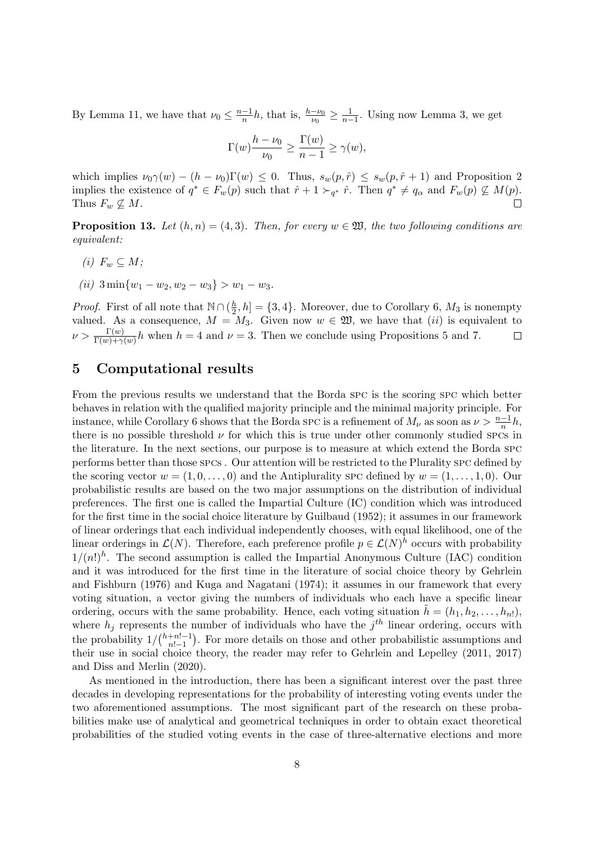By Lemma 11, we have that  $\nu_0 \leq \frac{n-1}{n}h$ , that is,  $\frac{h-\nu_0}{\nu_0} \geq \frac{1}{n-1}$  $\frac{1}{n-1}$ . Using now Lemma 3, we get

$$
\Gamma(w)\frac{h-\nu_0}{\nu_0} \ge \frac{\Gamma(w)}{n-1} \ge \gamma(w),
$$

which implies  $\nu_0\gamma(w) - (h - \nu_0)\Gamma(w) \leq 0$ . Thus,  $s_w(p, \hat{r}) \leq s_w(p, \hat{r} + 1)$  and Proposition 2 implies the existence of  $q^* \in F_w(p)$  such that  $\hat{r} + 1 \succ_{q^*} \hat{r}$ . Then  $q^* \neq q_\alpha$  and  $F_w(p) \not\subseteq M(p)$ . Thus  $F_w \nsubseteq M$ .

**Proposition 13.** Let  $(h, n) = (4, 3)$ . Then, for every  $w \in \mathfrak{W}$ , the two following conditions are equivalent:

- (i)  $F_w \subseteq M$ ;
- (ii)  $3 \min\{w_1 w_2, w_2 w_3\} > w_1 w_3.$

*Proof.* First of all note that  $\mathbb{N} \cap (\frac{h}{2})$  $\frac{h}{2}$ ,  $h$ ] = {3, 4}. Moreover, due to Corollary 6,  $M_3$  is nonempty valued. As a consequence,  $M = M_3$ . Given now  $w \in \mathfrak{W}$ , we have that  $(ii)$  is equivalent to  $\nu > \frac{\Gamma(w)}{\Gamma(w)+\gamma(w)}h$  when  $h = 4$  and  $\nu = 3$ . Then we conclude using Propositions 5 and 7.  $\Box$ 

## 5 Computational results

From the previous results we understand that the Borda spc is the scoring spc which better behaves in relation with the qualified majority principle and the minimal majority principle. For instance, while Corollary 6 shows that the Borda spc is a refinement of  $M_{\nu}$  as soon as  $\nu > \frac{n-1}{n}h$ , there is no possible threshold  $\nu$  for which this is true under other commonly studied SPCs in the literature. In the next sections, our purpose is to measure at which extend the Borda spc performs better than those spcs . Our attention will be restricted to the Plurality spc defined by the scoring vector  $w = (1, 0, \ldots, 0)$  and the Antiplurality spc defined by  $w = (1, \ldots, 1, 0)$ . Our probabilistic results are based on the two major assumptions on the distribution of individual preferences. The first one is called the Impartial Culture (IC) condition which was introduced for the first time in the social choice literature by Guilbaud (1952); it assumes in our framework of linear orderings that each individual independently chooses, with equal likelihood, one of the linear orderings in  $\mathcal{L}(N)$ . Therefore, each preference profile  $p \in \mathcal{L}(N)^h$  occurs with probability  $1/(n!)^h$ . The second assumption is called the Impartial Anonymous Culture (IAC) condition and it was introduced for the first time in the literature of social choice theory by Gehrlein and Fishburn (1976) and Kuga and Nagatani (1974); it assumes in our framework that every voting situation, a vector giving the numbers of individuals who each have a specific linear ordering, occurs with the same probability. Hence, each voting situation  $\tilde{h} = (h_1, h_2, \ldots, h_{n!}),$ where  $h_j$  represents the number of individuals who have the  $j^{th}$  linear ordering, occurs with the probability  $1/{\binom{h+n!-1}{n!-1}}$  $n!-\!1$  . For more details on those and other probabilistic assumptions and their use in social choice theory, the reader may refer to Gehrlein and Lepelley (2011, 2017) and Diss and Merlin (2020).

As mentioned in the introduction, there has been a significant interest over the past three decades in developing representations for the probability of interesting voting events under the two aforementioned assumptions. The most significant part of the research on these probabilities make use of analytical and geometrical techniques in order to obtain exact theoretical probabilities of the studied voting events in the case of three-alternative elections and more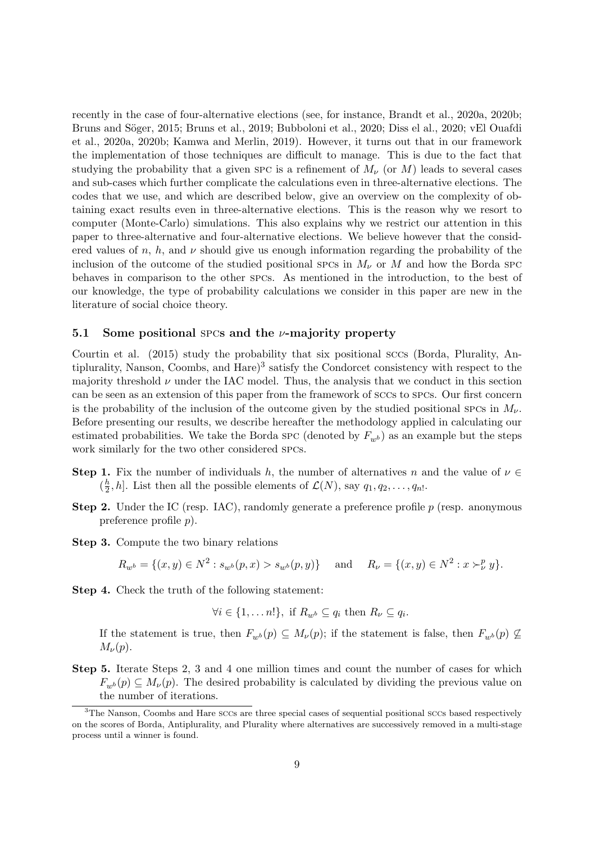recently in the case of four-alternative elections (see, for instance, Brandt et al., 2020a, 2020b; Bruns and Söger, 2015; Bruns et al., 2019; Bubboloni et al., 2020; Diss el al., 2020; vEl Quafdi et al., 2020a, 2020b; Kamwa and Merlin, 2019). However, it turns out that in our framework the implementation of those techniques are difficult to manage. This is due to the fact that studying the probability that a given spc is a refinement of  $M_{\nu}$  (or M) leads to several cases and sub-cases which further complicate the calculations even in three-alternative elections. The codes that we use, and which are described below, give an overview on the complexity of obtaining exact results even in three-alternative elections. This is the reason why we resort to computer (Monte-Carlo) simulations. This also explains why we restrict our attention in this paper to three-alternative and four-alternative elections. We believe however that the considered values of n, h, and  $\nu$  should give us enough information regarding the probability of the inclusion of the outcome of the studied positional spcs in  $M_{\nu}$  or M and how the Borda spc behaves in comparison to the other spcs. As mentioned in the introduction, to the best of our knowledge, the type of probability calculations we consider in this paper are new in the literature of social choice theory.

#### 5.1 Some positional spcs and the  $\nu$ -majority property

Courtin et al. (2015) study the probability that six positional sccs (Borda, Plurality, Antiplurality, Nanson, Coombs, and Hare)<sup>3</sup> satisfy the Condorcet consistency with respect to the majority threshold  $\nu$  under the IAC model. Thus, the analysis that we conduct in this section can be seen as an extension of this paper from the framework of sccs to spcs. Our first concern is the probability of the inclusion of the outcome given by the studied positional spcs in  $M_{\nu}$ . Before presenting our results, we describe hereafter the methodology applied in calculating our estimated probabilities. We take the Borda spc (denoted by  $F_{wb}$ ) as an example but the steps work similarly for the two other considered spcs.

- **Step 1.** Fix the number of individuals h, the number of alternatives n and the value of  $\nu \in$  $(\frac{h}{2})$  $\frac{h}{2}$ , h]. List then all the possible elements of  $\mathcal{L}(N)$ , say  $q_1, q_2, \ldots, q_{n}$ .
- **Step 2.** Under the IC (resp. IAC), randomly generate a preference profile  $p$  (resp. anonymous preference profile p).
- Step 3. Compute the two binary relations

$$
R_{w^{b}} = \{(x, y) \in N^{2} : s_{w^{b}}(p, x) > s_{w^{b}}(p, y)\} \text{ and } R_{\nu} = \{(x, y) \in N^{2} : x \succ_{\nu}^{p} y\}.
$$

Step 4. Check the truth of the following statement:

$$
\forall i \in \{1, \dots n!\}, \text{ if } R_{w^b} \subseteq q_i \text{ then } R_{\nu} \subseteq q_i.
$$

If the statement is true, then  $F_{w^b}(p) \subseteq M_{\nu}(p)$ ; if the statement is false, then  $F_{w^b}(p) \nsubseteq$  $M_{\nu}(p)$ .

Step 5. Iterate Steps 2, 3 and 4 one million times and count the number of cases for which  $F_{w,b}(p) \subseteq M_{\nu}(p)$ . The desired probability is calculated by dividing the previous value on the number of iterations.

<sup>&</sup>lt;sup>3</sup>The Nanson, Coombs and Hare sccs are three special cases of sequential positional sccs based respectively on the scores of Borda, Antiplurality, and Plurality where alternatives are successively removed in a multi-stage process until a winner is found.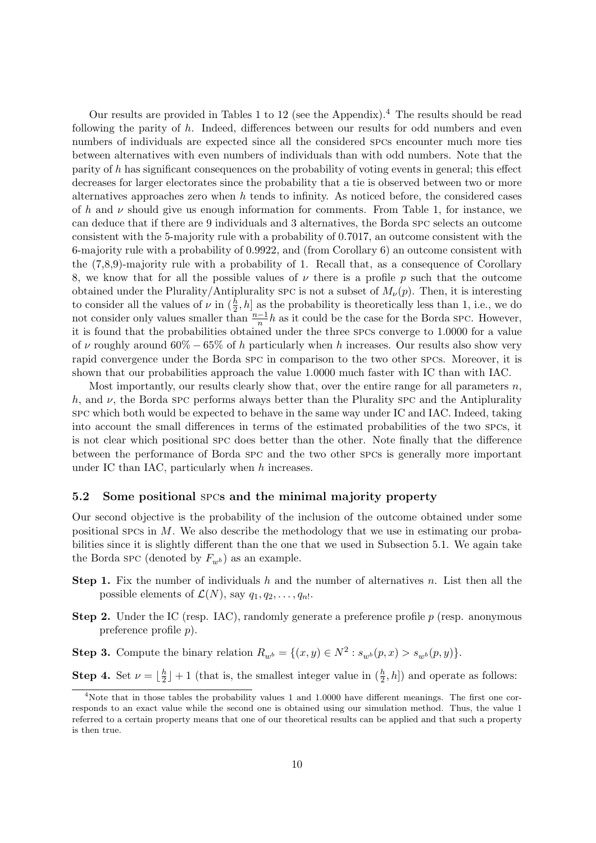Our results are provided in Tables 1 to 12 (see the Appendix).<sup>4</sup> The results should be read following the parity of  $h$ . Indeed, differences between our results for odd numbers and even numbers of individuals are expected since all the considered spcs encounter much more ties between alternatives with even numbers of individuals than with odd numbers. Note that the parity of h has significant consequences on the probability of voting events in general; this effect decreases for larger electorates since the probability that a tie is observed between two or more alternatives approaches zero when  $h$  tends to infinity. As noticed before, the considered cases of h and  $\nu$  should give us enough information for comments. From Table 1, for instance, we can deduce that if there are 9 individuals and 3 alternatives, the Borda spc selects an outcome consistent with the 5-majority rule with a probability of 0.7017, an outcome consistent with the 6-majority rule with a probability of 0.9922, and (from Corollary 6) an outcome consistent with the (7,8,9)-majority rule with a probability of 1. Recall that, as a consequence of Corollary 8, we know that for all the possible values of  $\nu$  there is a profile p such that the outcome obtained under the Plurality/Antiplurality spc is not a subset of  $M_{\nu}(p)$ . Then, it is interesting to consider all the values of  $\nu$  in  $(\frac{h}{2}, h]$  as the probability is theoretically less than 1, i.e., we do not consider only values smaller than  $\frac{n-1}{n}h$  as it could be the case for the Borda spc. However, it is found that the probabilities obtained under the three spcs converge to 1.0000 for a value of v roughly around  $60\% - 65\%$  of h particularly when h increases. Our results also show very rapid convergence under the Borda spc in comparison to the two other spcs. Moreover, it is shown that our probabilities approach the value 1.0000 much faster with IC than with IAC.

Most importantly, our results clearly show that, over the entire range for all parameters  $n$ , h, and  $\nu$ , the Borda spc performs always better than the Plurality spc and the Antiplurality spc which both would be expected to behave in the same way under IC and IAC. Indeed, taking into account the small differences in terms of the estimated probabilities of the two spcs, it is not clear which positional spc does better than the other. Note finally that the difference between the performance of Borda spc and the two other spcs is generally more important under IC than IAC, particularly when h increases.

#### 5.2 Some positional spcs and the minimal majority property

Our second objective is the probability of the inclusion of the outcome obtained under some positional spcs in M. We also describe the methodology that we use in estimating our probabilities since it is slightly different than the one that we used in Subsection 5.1. We again take the Borda spc (denoted by  $F_{w^b}$ ) as an example.

- **Step 1.** Fix the number of individuals h and the number of alternatives n. List then all the possible elements of  $\mathcal{L}(N)$ , say  $q_1, q_2, \ldots, q_n$ .
- **Step 2.** Under the IC (resp. IAC), randomly generate a preference profile  $p$  (resp. anonymous preference profile p).

**Step 3.** Compute the binary relation  $R_{w^b} = \{(x, y) \in N^2 : s_{w^b}(p, x) > s_{w^b}(p, y)\}.$ 

**Step 4.** Set  $\nu = \lfloor \frac{h}{2} \rfloor$  $\frac{h}{2}$  | + 1 (that is, the smallest integer value in  $(\frac{h}{2}, h]$ ) and operate as follows:

<sup>&</sup>lt;sup>4</sup>Note that in those tables the probability values 1 and 1.0000 have different meanings. The first one corresponds to an exact value while the second one is obtained using our simulation method. Thus, the value 1 referred to a certain property means that one of our theoretical results can be applied and that such a property is then true.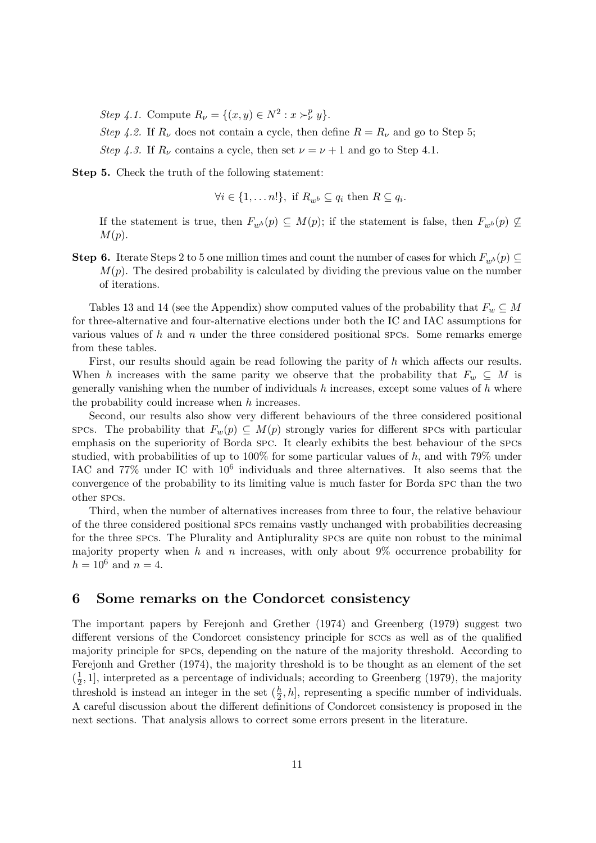Step 4.1. Compute  $R_{\nu} = \{(x, y) \in N^2 : x \succ_{\nu}^p y\}.$ 

Step 4.2. If  $R_{\nu}$  does not contain a cycle, then define  $R = R_{\nu}$  and go to Step 5; Step 4.3. If  $R_{\nu}$  contains a cycle, then set  $\nu = \nu + 1$  and go to Step 4.1.

Step 5. Check the truth of the following statement:

$$
\forall i \in \{1, \dots n!\}, \text{ if } R_{w^b} \subseteq q_i \text{ then } R \subseteq q_i.
$$

If the statement is true, then  $F_{w^b}(p) \subseteq M(p)$ ; if the statement is false, then  $F_{w^b}(p) \nsubseteq$  $M(p).$ 

**Step 6.** Iterate Steps 2 to 5 one million times and count the number of cases for which  $F_{wb} (p) \subseteq$  $M(p)$ . The desired probability is calculated by dividing the previous value on the number of iterations.

Tables 13 and 14 (see the Appendix) show computed values of the probability that  $F_w \subseteq M$ for three-alternative and four-alternative elections under both the IC and IAC assumptions for various values of  $h$  and  $n$  under the three considered positional spcs. Some remarks emerge from these tables.

First, our results should again be read following the parity of h which affects our results. When h increases with the same parity we observe that the probability that  $F_w \subseteq M$  is generally vanishing when the number of individuals  $h$  increases, except some values of  $h$  where the probability could increase when  $h$  increases.

Second, our results also show very different behaviours of the three considered positional spcs. The probability that  $F_w(p) \subseteq M(p)$  strongly varies for different spcs with particular emphasis on the superiority of Borda spc. It clearly exhibits the best behaviour of the spcs studied, with probabilities of up to 100% for some particular values of h, and with 79% under IAC and  $77\%$  under IC with  $10^6$  individuals and three alternatives. It also seems that the convergence of the probability to its limiting value is much faster for Borda spc than the two other spcs.

Third, when the number of alternatives increases from three to four, the relative behaviour of the three considered positional spcs remains vastly unchanged with probabilities decreasing for the three spcs. The Plurality and Antiplurality spcs are quite non robust to the minimal majority property when h and n increases, with only about  $9\%$  occurrence probability for  $h = 10^6$  and  $n = 4$ .

### 6 Some remarks on the Condorcet consistency

The important papers by Ferejonh and Grether (1974) and Greenberg (1979) suggest two different versions of the Condorcet consistency principle for sccs as well as of the qualified majority principle for spcs, depending on the nature of the majority threshold. According to Ferejonh and Grether (1974), the majority threshold is to be thought as an element of the set  $(\frac{1}{2})$  $\frac{1}{2}$ , 1], interpreted as a percentage of individuals; according to Greenberg (1979), the majority threshold is instead an integer in the set  $(\frac{h}{2}, h]$ , representing a specific number of individuals. A careful discussion about the different definitions of Condorcet consistency is proposed in the next sections. That analysis allows to correct some errors present in the literature.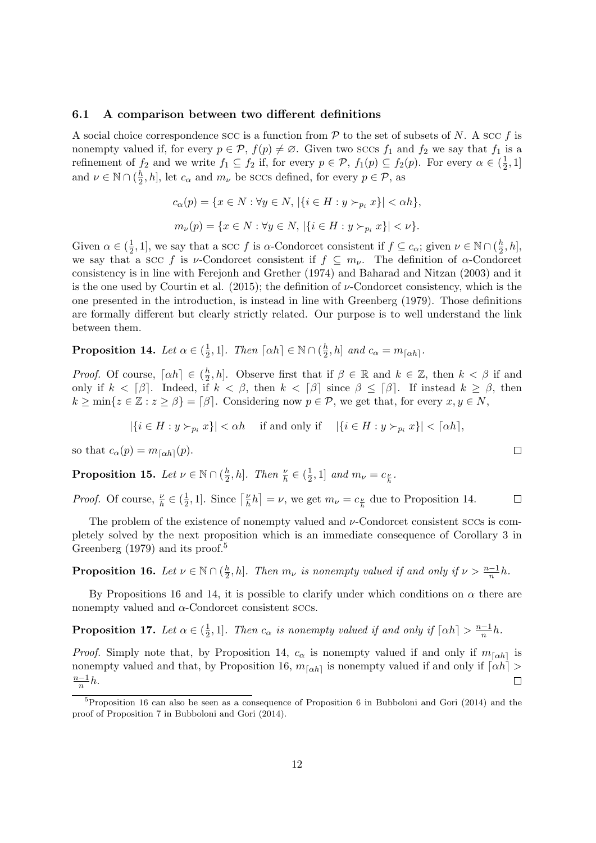#### 6.1 A comparison between two different definitions

A social choice correspondence scc is a function from  $P$  to the set of subsets of N. A scc f is nonempty valued if, for every  $p \in \mathcal{P}$ ,  $f(p) \neq \emptyset$ . Given two sccs  $f_1$  and  $f_2$  we say that  $f_1$  is a refinement of  $f_2$  and we write  $f_1 \subseteq f_2$  if, for every  $p \in \mathcal{P}$ ,  $f_1(p) \subseteq f_2(p)$ . For every  $\alpha \in (\frac{1}{2})$  $\frac{1}{2}, 1]$ and  $\nu \in \mathbb{N} \cap (\frac{h}{2})$  $\frac{h}{2}$ , h, let  $c_{\alpha}$  and  $m_{\nu}$  be sccs defined, for every  $p \in \mathcal{P}$ , as

$$
c_{\alpha}(p) = \{x \in N : \forall y \in N, |\{i \in H : y \succ_{p_i} x\}| < \alpha h\},\
$$

$$
m_{\nu}(p) = \{x \in N : \forall y \in N, |\{i \in H : y \succ_{p_i} x\}| < \nu\}.
$$

Given  $\alpha \in (\frac{1}{2})$  $\frac{1}{2}$ , 1], we say that a SCC f is  $\alpha$ -Condorcet consistent if  $f \subseteq c_{\alpha}$ ; given  $\nu \in \mathbb{N} \cap (\frac{h}{2})$  $\frac{h}{2}, h],$ we say that a scc f is v-Condorcet consistent if  $f \subseteq m_{\nu}$ . The definition of  $\alpha$ -Condorcet consistency is in line with Ferejonh and Grether (1974) and Baharad and Nitzan (2003) and it is the one used by Courtin et al.  $(2015)$ ; the definition of  $\nu$ -Condorcet consistency, which is the one presented in the introduction, is instead in line with Greenberg (1979). Those definitions are formally different but clearly strictly related. Our purpose is to well understand the link between them.

Proposition 14. Let  $\alpha \in (\frac{1}{2})$  $\frac{1}{2}$ , 1]. Then  $\lceil \alpha h \rceil \in \mathbb{N} \cap (\frac{h}{2})$  $\frac{h}{2}$ , h] and  $c_{\alpha} = m_{\lceil \alpha h \rceil}$ .

*Proof.* Of course,  $\lceil \alpha h \rceil \in \left(\frac{h}{2}\right)$  $\frac{h}{2}$ , h]. Observe first that if  $\beta \in \mathbb{R}$  and  $k \in \mathbb{Z}$ , then  $k < \beta$  if and only if  $k < \lceil \beta \rceil$ . Indeed, if  $k < \beta$ , then  $k < \lceil \beta \rceil$  since  $\beta \leq \lceil \beta \rceil$ . If instead  $k \geq \beta$ , then  $k \ge \min\{z \in \mathbb{Z} : z \ge \beta\} = \lceil \beta \rceil$ . Considering now  $p \in \mathcal{P}$ , we get that, for every  $x, y \in N$ ,

$$
|\{i \in H : y \succ_{p_i} x\}| < \alpha h \quad \text{ if and only if } \quad |\{i \in H : y \succ_{p_i} x\}| < \lceil \alpha h \rceil,
$$

so that  $c_{\alpha}(p) = m_{\lceil \alpha h \rceil}(p)$ .

Proposition 15. Let  $\nu\in\mathbb{N}\cap(\frac{h}{2})$  $\frac{h}{2}, h$ ]. Then  $\frac{\nu}{h} \in (\frac{1}{2})$  $\frac{1}{2}, 1]$  and  $m_{\nu} = c_{\frac{\nu}{h}}$ .

*Proof.* Of course,  $\frac{\nu}{h} \in \left(\frac{1}{2}\right)$  $\frac{1}{2}$ , 1]. Since  $\left\lceil \frac{\nu}{h} \right\rceil$  $\left[\frac{\nu}{h}h\right] = \nu$ , we get  $m_{\nu} = c_{\frac{\nu}{h}}$  due to Proposition 14.  $\Box$ 

The problem of the existence of nonempty valued and  $\nu$ -Condorcet consistent sccs is completely solved by the next proposition which is an immediate consequence of Corollary 3 in Greenberg  $(1979)$  and its proof.<sup>5</sup>

Proposition 16. Let  $\nu\in\mathbb{N}\cap(\frac{h}{2})$  $\frac{h}{2}$ , h]. Then  $m_{\nu}$  is nonempty valued if and only if  $\nu > \frac{n-1}{n}h$ .

By Propositions 16 and 14, it is possible to clarify under which conditions on  $\alpha$  there are nonempty valued and  $\alpha$ -Condorcet consistent sccs.

Proposition 17. Let  $\alpha \in (\frac{1}{2})$  $\frac{1}{2}$ , 1]. Then  $c_{\alpha}$  is nonempty valued if and only if  $\lceil \alpha h \rceil > \frac{n-1}{n}h$ .

*Proof.* Simply note that, by Proposition 14,  $c_{\alpha}$  is nonempty valued if and only if  $m_{\lceil \alpha h \rceil}$  is nonempty valued and that, by Proposition 16,  $m_{\lceil \alpha h \rceil}$  is nonempty valued if and only if  $\lceil \alpha h \rceil$  >  $\frac{n-1}{n}h$ .  $\Box$ 

<sup>&</sup>lt;sup>5</sup>Proposition 16 can also be seen as a consequence of Proposition 6 in Bubboloni and Gori (2014) and the proof of Proposition 7 in Bubboloni and Gori (2014).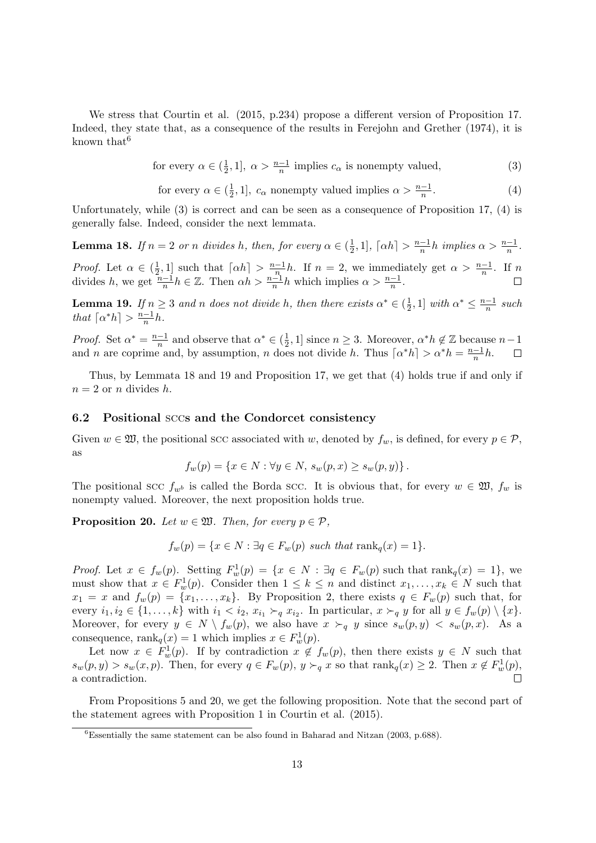We stress that Courtin et al. (2015, p.234) propose a different version of Proposition 17. Indeed, they state that, as a consequence of the results in Ferejohn and Grether (1974), it is known that  $6$ 

for every 
$$
\alpha \in (\frac{1}{2}, 1]
$$
,  $\alpha > \frac{n-1}{n}$  implies  $c_{\alpha}$  is nonempty valued, (3)

for every  $\alpha \in (\frac{1}{2})$  $\frac{1}{2}$ , 1],  $c_{\alpha}$  nonempty valued implies  $\alpha > \frac{n-1}{n}$  $(4)$ 

Unfortunately, while (3) is correct and can be seen as a consequence of Proposition 17, (4) is generally false. Indeed, consider the next lemmata.

**Lemma 18.** If  $n = 2$  or n divides h, then, for every  $\alpha \in (\frac{1}{2})$  $\frac{1}{2}, 1$ ,  $\lceil \alpha h \rceil > \frac{n-1}{n}h$  implies  $\alpha > \frac{n-1}{n}$ . *Proof.* Let  $\alpha \in (\frac{1}{2})$  $\frac{1}{2}$ , 1] such that  $\lceil \alpha h \rceil > \frac{n-1}{n}h$ . If  $n = 2$ , we immediately get  $\alpha > \frac{n-1}{n}$ . If n divides h, we get  $\frac{n-1}{n}h \in \mathbb{Z}$ . Then  $\alpha h > \frac{n-1}{n}h$  which implies  $\alpha > \frac{n-1}{n}$ .

**Lemma 19.** If  $n \geq 3$  and n does not divide h, then there exists  $\alpha^* \in (\frac{1}{2})$  $\frac{1}{2}$ , 1] with  $\alpha^* \leq \frac{n-1}{n}$  such that  $\lceil \alpha^* h \rceil > \frac{n-1}{n}h$ .

*Proof.* Set  $\alpha^* = \frac{n-1}{n}$  and observe that  $\alpha^* \in (\frac{1}{2})$  $(\frac{1}{2}, 1]$  since  $n \geq 3$ . Moreover,  $\alpha^* h \notin \mathbb{Z}$  because  $n-1$ and *n* are coprime and, by assumption, *n* does not divide *h*. Thus  $\lceil \alpha^* h \rceil > \alpha^* h = \frac{n-1}{n} h$ .

Thus, by Lemmata 18 and 19 and Proposition 17, we get that (4) holds true if and only if  $n = 2$  or n divides h.

#### 6.2 Positional sccs and the Condorcet consistency

Given  $w \in \mathfrak{W}$ , the positional scc associated with w, denoted by  $f_w$ , is defined, for every  $p \in \mathcal{P}$ , as

$$
f_w(p) = \{x \in N : \forall y \in N, s_w(p, x) \ge s_w(p, y)\}.
$$

The positional scc  $f_{w^b}$  is called the Borda scc. It is obvious that, for every  $w \in \mathfrak{W}$ ,  $f_w$  is nonempty valued. Moreover, the next proposition holds true.

**Proposition 20.** Let  $w \in \mathfrak{W}$ . Then, for every  $p \in \mathcal{P}$ ,

$$
f_w(p) = \{x \in N : \exists q \in F_w(p) \text{ such that } \text{rank}_q(x) = 1\}.
$$

*Proof.* Let  $x \in f_w(p)$ . Setting  $F_w^1(p) = \{x \in N : \exists q \in F_w(p) \text{ such that } \text{rank}_q(x) = 1\}$ , we must show that  $x \in F_w^1(p)$ . Consider then  $1 \leq k \leq n$  and distinct  $x_1, \ldots, x_k \in N$  such that  $x_1 = x$  and  $f_w(p) = \{x_1, \ldots, x_k\}$ . By Proposition 2, there exists  $q \in F_w(p)$  such that, for every  $i_1, i_2 \in \{1, ..., k\}$  with  $i_1 < i_2, x_{i_1} \succ_q x_{i_2}$ . In particular,  $x \succ_q y$  for all  $y \in f_w(p) \setminus \{x\}$ . Moreover, for every  $y \in N \setminus f_w(p)$ , we also have  $x \succ_q y$  since  $s_w(p, y) \lt s_w(p, x)$ . As a consequence,  $\text{rank}_q(x) = 1$  which implies  $x \in F_w^1(p)$ .

Let now  $x \in F_w^1(p)$ . If by contradiction  $x \notin f_w(p)$ , then there exists  $y \in N$  such that  $s_w(p, y) > s_w(x, p)$ . Then, for every  $q \in F_w(p)$ ,  $y \succ_q x$  so that  $\text{rank}_q(x) \geq 2$ . Then  $x \notin F_w^1(p)$ , a contradiction.

From Propositions 5 and 20, we get the following proposition. Note that the second part of the statement agrees with Proposition 1 in Courtin et al. (2015).

 $\overline{6}$ Essentially the same statement can be also found in Baharad and Nitzan (2003, p.688).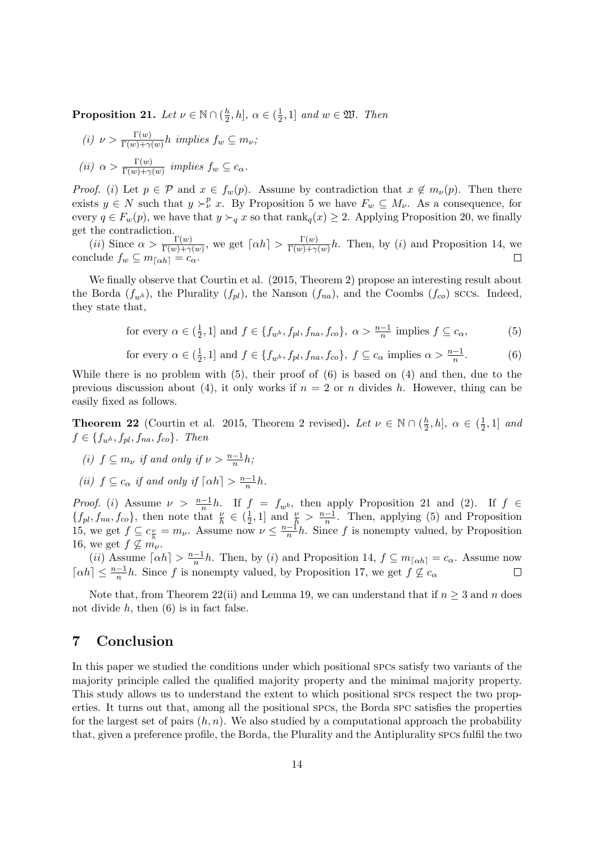Proposition 21. Let  $\nu\in\mathbb{N}\cap(\frac{h}{2})$  $\frac{h}{2}, h$ ],  $\alpha \in (\frac{1}{2})$  $\frac{1}{2}$ , 1] and  $w \in \mathfrak{W}$ . Then

(i) 
$$
\nu > \frac{\Gamma(w)}{\Gamma(w) + \gamma(w)} h
$$
 implies  $f_w \subseteq m_{\nu}$ ;  
(ii)  $\alpha > \frac{\Gamma(w)}{\Gamma(w) + \gamma(w)}$  implies  $f_w \subseteq c_{\alpha}$ .

*Proof.* (i) Let  $p \in \mathcal{P}$  and  $x \in f_w(p)$ . Assume by contradiction that  $x \notin m_{\nu}(p)$ . Then there exists  $y \in N$  such that  $y \succ^p_\nu x$ . By Proposition 5 we have  $F_w \subseteq M_\nu$ . As a consequence, for every  $q \in F_w(p)$ , we have that  $y \succ_q x$  so that  $\text{rank}_q(x) \geq 2$ . Applying Proposition 20, we finally get the contradiction.

(*ii*) Since  $\alpha > \frac{\Gamma(w)}{\Gamma(w)+\gamma(w)}$ , we get  $\lceil \alpha h \rceil > \frac{\Gamma(w)}{\Gamma(w)+\gamma}$  $\frac{\Gamma(w)}{\Gamma(w)+\gamma(w)}h$ . Then, by (i) and Proposition 14, we conclude  $f_w \subseteq m_{\lceil \alpha h \rceil} = c_\alpha$ .

We finally observe that Courtin et al.  $(2015,$  Theorem 2) propose an interesting result about the Borda  $(f_{w^b})$ , the Plurality  $(f_{pl})$ , the Nanson  $(f_{na})$ , and the Coombs  $(f_{co})$  sccs. Indeed, they state that,

for every 
$$
\alpha \in (\frac{1}{2}, 1]
$$
 and  $f \in \{f_{w^b}, f_{pl}, f_{na}, f_{co}\}, \ \alpha > \frac{n-1}{n}$  implies  $f \subseteq c_{\alpha}$ , (5)

for every 
$$
\alpha \in (\frac{1}{2}, 1]
$$
 and  $f \in \{f_{w^b}, f_{pl}, f_{na}, f_{co}\}, f \subseteq c_\alpha$  implies  $\alpha > \frac{n-1}{n}$ . (6)

While there is no problem with  $(5)$ , their proof of  $(6)$  is based on  $(4)$  and then, due to the previous discussion about (4), it only works if  $n = 2$  or n divides h. However, thing can be easily fixed as follows.

**Theorem 22** (Courtin et al. 2015, Theorem 2 revised). Let  $\nu \in \mathbb{N} \cap (\frac{h}{2})$  $(\frac{h}{2},h], \alpha \in (\frac{1}{2})$  $\frac{1}{2}, 1]$  and  $f \in \{f_{w^b}, f_{pl}, f_{na}, f_{co}\}.$  Then

(i) 
$$
f \subseteq m_{\nu}
$$
 if and only if  $\nu > \frac{n-1}{n}h$ ;

(ii)  $f \subseteq c_\alpha$  if and only if  $\lceil \alpha h \rceil > \frac{n-1}{n}h$ .

*Proof.* (i) Assume  $\nu > \frac{n-1}{n}h$ . If  $f = f_{w^b}$ , then apply Proposition 21 and (2). If  $f \in$  $\{f_{pl}, f_{na}, f_{co}\},$  then note that  $\frac{\nu}{h} \in (\frac{1}{2})$  $\frac{1}{2}$ , 1] and  $\frac{\nu}{h} > \frac{n-1}{n}$ . Then, applying (5) and Proposition 15, we get  $f \subseteq c_{\frac{\nu}{h}} = m_{\nu}$ . Assume now  $\nu \leq \frac{n-1}{n}h$ . Since f is nonempty valued, by Proposition 16, we get  $f \nsubseteq m_{\nu}$ .

(*ii*) Assume  $\lceil \alpha h \rceil > \frac{n-1}{n}h$ . Then, by (*i*) and Proposition 14,  $f \subseteq m_{\lceil \alpha h \rceil} = c_{\alpha}$ . Assume now  $\lceil \alpha h \rceil \leq \frac{n-1}{n}h$ . Since f is nonempty valued, by Proposition 17, we get  $f \nsubseteq c_{\alpha}$  $\Box$ 

Note that, from Theorem 22(ii) and Lemma 19, we can understand that if  $n \geq 3$  and n does not divide  $h$ , then  $(6)$  is in fact false.

## 7 Conclusion

In this paper we studied the conditions under which positional spcs satisfy two variants of the majority principle called the qualified majority property and the minimal majority property. This study allows us to understand the extent to which positional spcs respect the two properties. It turns out that, among all the positional spcs, the Borda spc satisfies the properties for the largest set of pairs  $(h, n)$ . We also studied by a computational approach the probability that, given a preference profile, the Borda, the Plurality and the Antiplurality spcs fulfil the two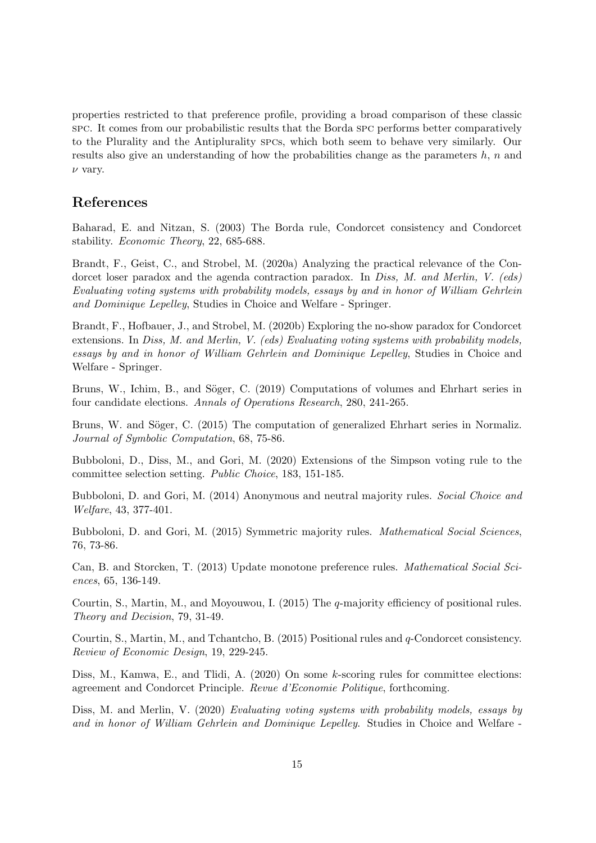properties restricted to that preference profile, providing a broad comparison of these classic spc. It comes from our probabilistic results that the Borda spc performs better comparatively to the Plurality and the Antiplurality spcs, which both seem to behave very similarly. Our results also give an understanding of how the probabilities change as the parameters  $h$ ,  $n$  and  $\nu$  vary.

## References

Baharad, E. and Nitzan, S. (2003) The Borda rule, Condorcet consistency and Condorcet stability. Economic Theory, 22, 685-688.

Brandt, F., Geist, C., and Strobel, M. (2020a) Analyzing the practical relevance of the Condorcet loser paradox and the agenda contraction paradox. In Diss, M. and Merlin, V. (eds) Evaluating voting systems with probability models, essays by and in honor of William Gehrlein and Dominique Lepelley, Studies in Choice and Welfare - Springer.

Brandt, F., Hofbauer, J., and Strobel, M. (2020b) Exploring the no-show paradox for Condorcet extensions. In Diss, M. and Merlin, V. (eds) Evaluating voting systems with probability models, essays by and in honor of William Gehrlein and Dominique Lepelley, Studies in Choice and Welfare - Springer.

Bruns, W., Ichim, B., and Söger, C. (2019) Computations of volumes and Ehrhart series in four candidate elections. Annals of Operations Research, 280, 241-265.

Bruns, W. and Söger, C. (2015) The computation of generalized Ehrhart series in Normaliz. Journal of Symbolic Computation, 68, 75-86.

Bubboloni, D., Diss, M., and Gori, M. (2020) Extensions of the Simpson voting rule to the committee selection setting. Public Choice, 183, 151-185.

Bubboloni, D. and Gori, M. (2014) Anonymous and neutral majority rules. Social Choice and Welfare, 43, 377-401.

Bubboloni, D. and Gori, M. (2015) Symmetric majority rules. *Mathematical Social Sciences*, 76, 73-86.

Can, B. and Storcken, T. (2013) Update monotone preference rules. Mathematical Social Sciences, 65, 136-149.

Courtin, S., Martin, M., and Moyouwou, I. (2015) The q-majority efficiency of positional rules. Theory and Decision, 79, 31-49.

Courtin, S., Martin, M., and Tchantcho, B. (2015) Positional rules and q-Condorcet consistency. Review of Economic Design, 19, 229-245.

Diss, M., Kamwa, E., and Tlidi, A. (2020) On some k-scoring rules for committee elections: agreement and Condorcet Principle. Revue d'Economie Politique, forthcoming.

Diss, M. and Merlin, V. (2020) Evaluating voting systems with probability models, essays by and in honor of William Gehrlein and Dominique Lepelley. Studies in Choice and Welfare -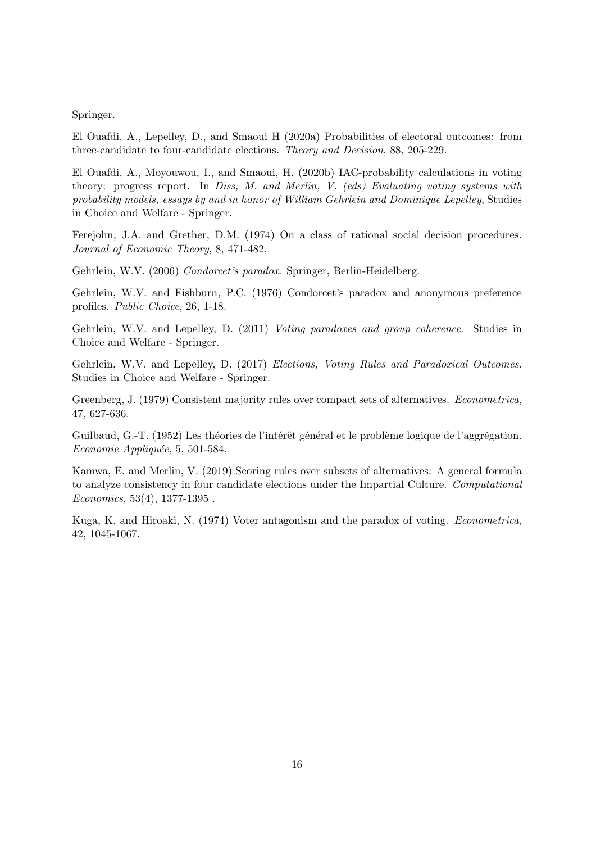Springer.

El Ouafdi, A., Lepelley, D., and Smaoui H (2020a) Probabilities of electoral outcomes: from three-candidate to four-candidate elections. Theory and Decision, 88, 205-229.

El Ouafdi, A., Moyouwou, I., and Smaoui, H. (2020b) IAC-probability calculations in voting theory: progress report. In Diss, M. and Merlin, V. (eds) Evaluating voting systems with probability models, essays by and in honor of William Gehrlein and Dominique Lepelley, Studies in Choice and Welfare - Springer.

Ferejohn, J.A. and Grether, D.M. (1974) On a class of rational social decision procedures. Journal of Economic Theory, 8, 471-482.

Gehrlein, W.V. (2006) Condorcet's paradox. Springer, Berlin-Heidelberg.

Gehrlein, W.V. and Fishburn, P.C. (1976) Condorcet's paradox and anonymous preference profiles. Public Choice, 26, 1-18.

Gehrlein, W.V. and Lepelley, D. (2011) Voting paradoxes and group coherence. Studies in Choice and Welfare - Springer.

Gehrlein, W.V. and Lepelley, D. (2017) Elections, Voting Rules and Paradoxical Outcomes. Studies in Choice and Welfare - Springer.

Greenberg, J. (1979) Consistent majority rules over compact sets of alternatives. Econometrica, 47, 627-636.

Guilbaud, G.-T. (1952) Les théories de l'intérêt général et le problème logique de l'aggrégation.  $Economic$  Appliquée, 5, 501-584.

Kamwa, E. and Merlin, V. (2019) Scoring rules over subsets of alternatives: A general formula to analyze consistency in four candidate elections under the Impartial Culture. Computational Economics, 53(4), 1377-1395 .

Kuga, K. and Hiroaki, N. (1974) Voter antagonism and the paradox of voting. Econometrica, 42, 1045-1067.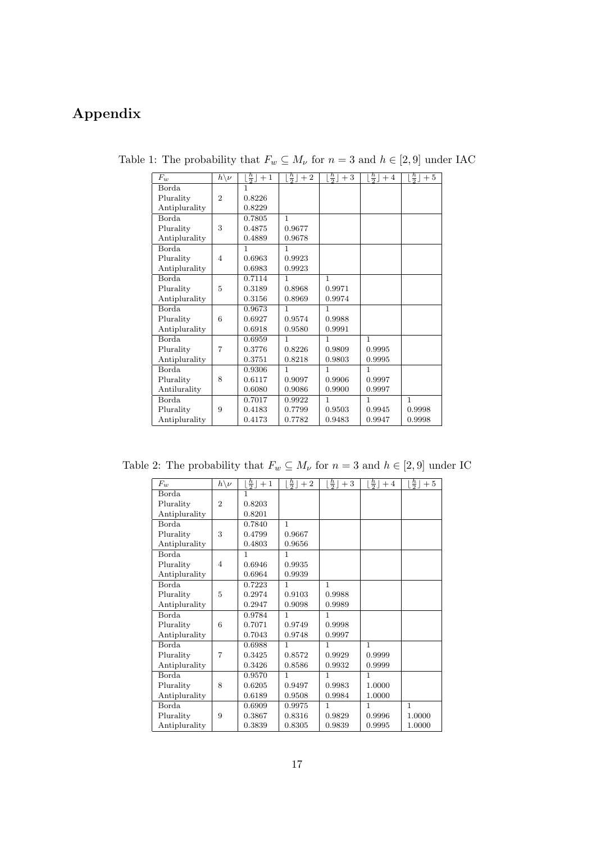## Appendix

| $F_w$         | $\bar{h}\backslash \nu$ | $\lfloor \frac{h}{2} \rfloor + 1$ | $\lfloor \frac{h}{2} \rfloor + 2$ | $\lfloor \frac{h}{2} \rfloor + 3$ | $\lfloor \frac{h}{2} \rfloor + 4$ | $\lfloor \frac{h}{2} \rfloor + 5$ |
|---------------|-------------------------|-----------------------------------|-----------------------------------|-----------------------------------|-----------------------------------|-----------------------------------|
| <b>Borda</b>  |                         | 1                                 |                                   |                                   |                                   |                                   |
| Plurality     | $\overline{2}$          | 0.8226                            |                                   |                                   |                                   |                                   |
| Antiplurality |                         | 0.8229                            |                                   |                                   |                                   |                                   |
| Borda         |                         | 0.7805                            | $\mathbf{1}$                      |                                   |                                   |                                   |
| Plurality     | 3                       | 0.4875                            | 0.9677                            |                                   |                                   |                                   |
| Antiplurality |                         | 0.4889                            | 0.9678                            |                                   |                                   |                                   |
| Borda         |                         | 1                                 | 1                                 |                                   |                                   |                                   |
| Plurality     | $\overline{4}$          | 0.6963                            | 0.9923                            |                                   |                                   |                                   |
| Antiplurality |                         | 0.6983                            | 0.9923                            |                                   |                                   |                                   |
| Borda         |                         | 0.7114                            | 1                                 | 1                                 |                                   |                                   |
| Plurality     | 5                       | 0.3189                            | 0.8968                            | 0.9971                            |                                   |                                   |
| Antiplurality |                         | 0.3156                            | 0.8969                            | 0.9974                            |                                   |                                   |
| Borda         |                         | 0.9673                            | 1                                 | 1                                 |                                   |                                   |
| Plurality     | 6                       | 0.6927                            | 0.9574                            | 0.9988                            |                                   |                                   |
| Antiplurality |                         | 0.6918                            | 0.9580                            | 0.9991                            |                                   |                                   |
| Borda         |                         | 0.6959                            | 1                                 | 1                                 | $\mathbf{1}$                      |                                   |
| Plurality     | $\overline{7}$          | 0.3776                            | 0.8226                            | 0.9809                            | 0.9995                            |                                   |
| Antiplurality |                         | 0.3751                            | 0.8218                            | 0.9803                            | 0.9995                            |                                   |
| Borda         |                         | 0.9306                            | 1                                 | 1                                 | $\mathbf{1}$                      |                                   |
| Plurality     | 8                       | 0.6117                            | 0.9097                            | 0.9906                            | 0.9997                            |                                   |
| Antilurality  |                         | 0.6080                            | 0.9086                            | 0.9900                            | 0.9997                            |                                   |
| Borda         |                         | 0.7017                            | 0.9922                            | 1                                 | $\mathbf{1}$                      | $\mathbf{1}$                      |
| Plurality     | 9                       | 0.4183                            | 0.7799                            | 0.9503                            | 0.9945                            | 0.9998                            |
| Antiplurality |                         | 0.4173                            | 0.7782                            | 0.9483                            | 0.9947                            | 0.9998                            |
|               |                         |                                   |                                   |                                   |                                   |                                   |

Table 1: The probability that  $F_w \subseteq M_\nu$  for  $n=3$  and  $h \in [2,9]$  under IAC

Table 2: The probability that  $F_w \subseteq M_\nu$  for  $n = 3$  and  $h \in [2, 9]$  under IC

| $F_w$         | $\bar{h}\backslash \nu$ | $\frac{h}{2}$ + 1 | $\lfloor \frac{h}{2} \rfloor$<br>$+\,2$ | $\lfloor \frac{h}{2} \rfloor + 3$ | $\lfloor \frac{h}{2} \rfloor$<br>$+4$ | $\lfloor \frac{h}{2} \rfloor$<br>$+5$ |
|---------------|-------------------------|-------------------|-----------------------------------------|-----------------------------------|---------------------------------------|---------------------------------------|
| Borda         |                         | 1                 |                                         |                                   |                                       |                                       |
| Plurality     | $\overline{2}$          | 0.8203            |                                         |                                   |                                       |                                       |
| Antiplurality |                         | 0.8201            |                                         |                                   |                                       |                                       |
| Borda         |                         | 0.7840            | 1                                       |                                   |                                       |                                       |
| Plurality     | 3                       | 0.4799            | 0.9667                                  |                                   |                                       |                                       |
| Antiplurality |                         | 0.4803            | 0.9656                                  |                                   |                                       |                                       |
| Borda.        |                         | 1                 | 1                                       |                                   |                                       |                                       |
| Plurality     | $\overline{4}$          | 0.6946            | 0.9935                                  |                                   |                                       |                                       |
| Antiplurality |                         | 0.6964            | 0.9939                                  |                                   |                                       |                                       |
| Borda         |                         | 0.7223            | 1                                       | $\mathbf{1}$                      |                                       |                                       |
| Plurality     | 5                       | 0.2974            | 0.9103                                  | 0.9988                            |                                       |                                       |
| Antiplurality |                         | 0.2947            | 0.9098                                  | 0.9989                            |                                       |                                       |
| Borda         |                         | 0.9784            | $\mathbf{1}$                            | 1                                 |                                       |                                       |
| Plurality     | 6                       | 0.7071            | 0.9749                                  | 0.9998                            |                                       |                                       |
| Antiplurality |                         | 0.7043            | 0.9748                                  | 0.9997                            |                                       |                                       |
| Borda         |                         | 0.6988            | $\mathbf{1}$                            | 1                                 | $\mathbf{1}$                          |                                       |
| Plurality     | 7                       | 0.3425            | 0.8572                                  | 0.9929                            | 0.9999                                |                                       |
| Antiplurality |                         | 0.3426            | 0.8586                                  | 0.9932                            | 0.9999                                |                                       |
| Borda         |                         | 0.9570            | $\mathbf{1}$                            | $\mathbf{1}$                      | $\mathbf{1}$                          |                                       |
| Plurality     | 8                       | 0.6205            | 0.9497                                  | 0.9983                            | 1.0000                                |                                       |
| Antiplurality |                         | 0.6189            | 0.9508                                  | 0.9984                            | 1.0000                                |                                       |
| Borda         |                         | 0.6909            | 0.9975                                  | 1                                 | 1                                     | $\mathbf{1}$                          |
| Plurality     | 9                       | 0.3867            | 0.8316                                  | 0.9829                            | 0.9996                                | 1.0000                                |
| Antiplurality |                         | 0.3839            | 0.8305                                  | 0.9839                            | 0.9995                                | 1.0000                                |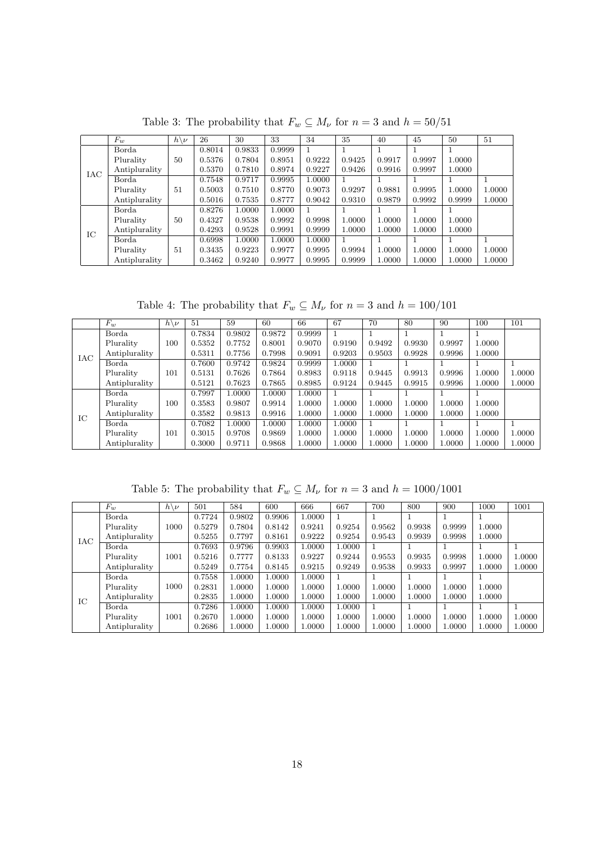|            | $F_w$         | $h\backslash \nu$ | 26     | 30     | 33     | 34     | 35     | 40     | 45     | 50     | 51     |
|------------|---------------|-------------------|--------|--------|--------|--------|--------|--------|--------|--------|--------|
|            | Borda         |                   | 0.8014 | 0.9833 | 0.9999 |        |        |        |        |        |        |
|            | Plurality     | 50                | 0.5376 | 0.7804 | 0.8951 | 0.9222 | 0.9425 | 0.9917 | 0.9997 | 1.0000 |        |
| <b>IAC</b> | Antiplurality |                   | 0.5370 | 0.7810 | 0.8974 | 0.9227 | 0.9426 | 0.9916 | 0.9997 | 1.0000 |        |
|            | Borda         |                   | 0.7548 | 0.9717 | 0.9995 | 1.0000 |        |        |        |        |        |
|            | Plurality     | 51                | 0.5003 | 0.7510 | 0.8770 | 0.9073 | 0.9297 | 0.9881 | 0.9995 | 1.0000 | 1.0000 |
|            | Antiplurality |                   | 0.5016 | 0.7535 | 0.8777 | 0.9042 | 0.9310 | 0.9879 | 0.9992 | 0.9999 | 1.0000 |
|            | Borda         |                   | 0.8276 | 1.0000 | 1.0000 |        |        |        |        |        |        |
|            | Plurality     | 50                | 0.4327 | 0.9538 | 0.9992 | 0.9998 | 1.0000 | 1.0000 | 1.0000 | 1.0000 |        |
| IC         | Antiplurality |                   | 0.4293 | 0.9528 | 0.9991 | 0.9999 | 1.0000 | 1.0000 | 1.0000 | 1.0000 |        |
|            | Borda         |                   | 0.6998 | 1.0000 | 1.0000 | 1.0000 |        |        |        |        |        |
|            | Plurality     | 51                | 0.3435 | 0.9223 | 0.9977 | 0.9995 | 0.9994 | 1.0000 | 1.0000 | 1.0000 | 1.0000 |
|            | Antiplurality |                   | 0.3462 | 0.9240 | 0.9977 | 0.9995 | 0.9999 | 1.0000 | 1.0000 | 1.0000 | 1.0000 |

Table 3: The probability that  $F_w \subseteq M_\nu$  for  $n=3$  and  $h=50/51$ 

Table 4: The probability that  $F_w \subseteq M_\nu$  for  $n=3$  and  $h=100/101$ 

|     | $F_w$         | $h\backslash \nu$ | 51     | 59     | 60     | 66     | 67     | 70     | 80     | 90     | 100    | 101    |
|-----|---------------|-------------------|--------|--------|--------|--------|--------|--------|--------|--------|--------|--------|
|     | Borda         |                   | 0.7834 | 0.9802 | 0.9872 | 0.9999 |        |        |        |        |        |        |
|     | Plurality     | 100               | 0.5352 | 0.7752 | 0.8001 | 0.9070 | 0.9190 | 0.9492 | 0.9930 | 0.9997 | 1.0000 |        |
| IAC | Antiplurality |                   | 0.5311 | 0.7756 | 0.7998 | 0.9091 | 0.9203 | 0.9503 | 0.9928 | 0.9996 | 1.0000 |        |
|     | Borda         |                   | 0.7600 | 0.9742 | 0.9824 | 0.9999 | 1.0000 |        |        |        |        |        |
|     | Plurality     | 101               | 0.5131 | 0.7626 | 0.7864 | 0.8983 | 0.9118 | 0.9445 | 0.9913 | 0.9996 | 1.0000 | 1.0000 |
|     | Antiplurality |                   | 0.5121 | 0.7623 | 0.7865 | 0.8985 | 0.9124 | 0.9445 | 0.9915 | 0.9996 | 1.0000 | 1.0000 |
|     | Borda         |                   | 0.7997 | 1.0000 | 1.0000 | 1.0000 |        |        |        |        |        |        |
|     | Plurality     | 100               | 0.3583 | 0.9807 | 0.9914 | 1.0000 | 1.0000 | 1.0000 | 1.0000 | 1.0000 | 1.0000 |        |
|     | Antiplurality |                   | 0.3582 | 0.9813 | 0.9916 | 1.0000 | 1.0000 | 1.0000 | 1.0000 | 1.0000 | 1.0000 |        |
| IC  | Borda         |                   | 0.7082 | 1.0000 | 1.0000 | 1.0000 | 1.0000 |        |        |        |        |        |
|     | Plurality     | 101               | 0.3015 | 0.9708 | 0.9869 | 1.0000 | 1.0000 | 1.0000 | 1.0000 | 1.0000 | 1.0000 | 1.0000 |
|     | Antiplurality |                   | 0.3000 | 0.9711 | 0.9868 | 1.0000 | 1.0000 | 1.0000 | 1.0000 | 1.0000 | 1.0000 | 1.0000 |

Table 5: The probability that  $F_w \subseteq M_\nu$  for  $n=3$  and  $h=1000/1001$ 

|            | $F_w$         | $h\backslash \nu$ | 501    | 584    | 600    | 666    | 667    | 700    | 800    | 900    | 1000   | 1001   |
|------------|---------------|-------------------|--------|--------|--------|--------|--------|--------|--------|--------|--------|--------|
|            | Borda         |                   | 0.7724 | 0.9802 | 0.9906 | 1.0000 |        |        |        |        |        |        |
|            | Plurality     | 1000              | 0.5279 | 0.7804 | 0.8142 | 0.9241 | 0.9254 | 0.9562 | 0.9938 | 0.9999 | 1.0000 |        |
| <b>IAC</b> | Antiplurality |                   | 0.5255 | 0.7797 | 0.8161 | 0.9222 | 0.9254 | 0.9543 | 0.9939 | 0.9998 | 1.0000 |        |
|            | Borda         |                   | 0.7693 | 0.9796 | 0.9903 | 1.0000 | 1.0000 |        |        |        |        |        |
|            | Plurality     | 1001              | 0.5216 | 0.7777 | 0.8133 | 0.9227 | 0.9244 | 0.9553 | 0.9935 | 0.9998 | 1.0000 | 1.0000 |
|            | Antiplurality |                   | 0.5249 | 0.7754 | 0.8145 | 0.9215 | 0.9249 | 0.9538 | 0.9933 | 0.9997 | 1.0000 | 1.0000 |
|            | Borda         |                   | 0.7558 | 1.0000 | 1.0000 | 1.0000 |        |        |        |        |        |        |
|            | Plurality     | 1000              | 0.2831 | 1.0000 | 1.0000 | 1.0000 | 1.0000 | 1.0000 | 1.0000 | 1.0000 | 1.0000 |        |
| IC         | Antiplurality |                   | 0.2835 | 1.0000 | 1.0000 | 1.0000 | 1.0000 | 1.0000 | 1.0000 | 1.0000 | 1.0000 |        |
|            | Borda         |                   | 0.7286 | 1.0000 | 1.0000 | 1.0000 | 1.0000 |        |        |        |        |        |
|            | Plurality     | 1001              | 0.2670 | 1.0000 | 1.0000 | 1.0000 | 1.0000 | 1.0000 | 1.0000 | 1.0000 | 1.0000 | 1.0000 |
|            | Antiplurality |                   | 0.2686 | 1.0000 | 1.0000 | L.0000 | 1.0000 | 1.0000 | 1.0000 | 1.0000 | 1.0000 | 1.0000 |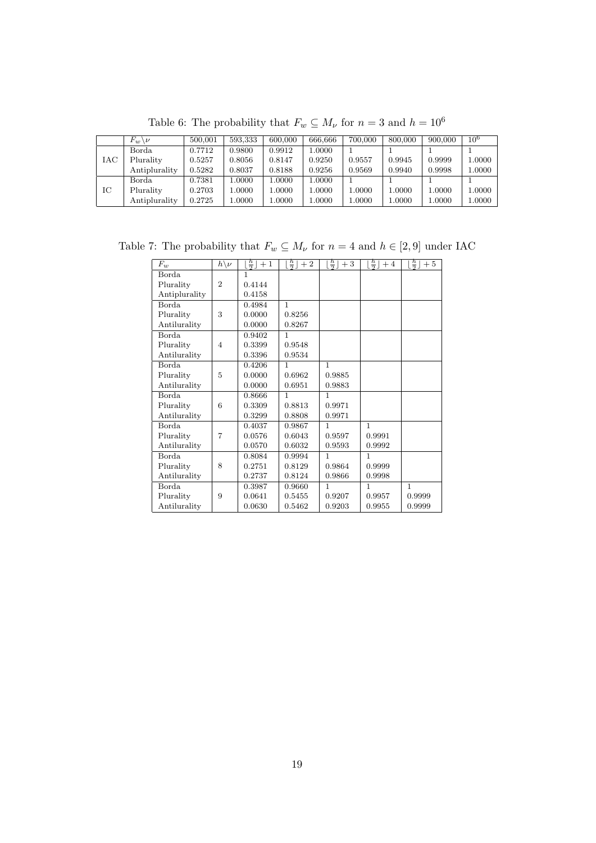|     | $F_w\backslash \nu$ | 500,001 | 593,333 | 600,000 | 666.666 | 700,000 | 800,000 | 900,000 | $10^{6}$   |
|-----|---------------------|---------|---------|---------|---------|---------|---------|---------|------------|
|     | Borda               | 0.7712  | 0.9800  | 0.9912  | 1.0000  |         |         |         |            |
| IAC | Plurality           | 0.5257  | 0.8056  | 0.8147  | 0.9250  | 0.9557  | 0.9945  | 0.9999  | 1.0000     |
|     | Antiplurality       | 0.5282  | 0.8037  | 0.8188  | 0.9256  | 0.9569  | 0.9940  | 0.9998  | $1.0000\,$ |
|     | Borda               | 0.7381  | 1.0000  | 1.0000  | 1.0000  |         |         |         |            |
| IС  | Plurality           | 0.2703  | 1.0000  | 1.0000  | 1.0000  | 000011  | 1.0000  | 1.0000  | 1.0000     |
|     | Antiplurality       | 0.2725  | 1.0000  | 1.0000  | 1.0000  | 00001   | 1.0000  | 1.0000  | $1.0000\,$ |

Table 6: The probability that  $F_w \subseteq M_\nu$  for  $n=3$  and  $h=10^6$ 

Table 7: The probability that  $F_w \subseteq M_\nu$  for  $n = 4$  and  $h \in [2, 9]$  under IAC

| $F_w$         | $h\backslash \nu$ | $\frac{h}{2}$<br>$+1$ | $\frac{h}{2}$ + 2 | $\frac{h}{2}$<br>$+\;3$ | $\frac{h}{2}$ + 4 | $\frac{h}{2}$<br>$+\;5$ |
|---------------|-------------------|-----------------------|-------------------|-------------------------|-------------------|-------------------------|
| Borda         |                   | 1                     |                   |                         |                   |                         |
| Plurality     | $\overline{2}$    | 0.4144                |                   |                         |                   |                         |
| Antiplurality |                   | 0.4158                |                   |                         |                   |                         |
| Borda         |                   | 0.4984                | $\mathbf{1}$      |                         |                   |                         |
| Plurality     | 3                 | 0.0000                | 0.8256            |                         |                   |                         |
| Antilurality  |                   | 0.0000                | 0.8267            |                         |                   |                         |
| Borda         |                   | 0.9402                | $\mathbf{1}$      |                         |                   |                         |
| Plurality     | $\overline{4}$    | 0.3399                | 0.9548            |                         |                   |                         |
| Antilurality  |                   | 0.3396                | 0.9534            |                         |                   |                         |
| Borda         |                   | 0.4206                | 1                 | $\mathbf{1}$            |                   |                         |
| Plurality     | 5                 | 0.0000                | 0.6962            | 0.9885                  |                   |                         |
| Antilurality  |                   | 0.0000                | 0.6951            | 0.9883                  |                   |                         |
| Borda         |                   | 0.8666                | 1                 | $\mathbf{1}$            |                   |                         |
| Plurality     | 6                 | 0.3309                | 0.8813            | 0.9971                  |                   |                         |
| Antilurality  |                   | 0.3299                | 0.8808            | 0.9971                  |                   |                         |
| Borda         |                   | 0.4037                | 0.9867            | $\mathbf{1}$            | $\mathbf{1}$      |                         |
| Plurality     | 7                 | 0.0576                | 0.6043            | 0.9597                  | 0.9991            |                         |
| Antilurality  |                   | 0.0570                | 0.6032            | 0.9593                  | 0.9992            |                         |
| Borda         |                   | 0.8084                | 0.9994            | $\mathbf{1}$            | $\mathbf{1}$      |                         |
| Plurality     | 8                 | 0.2751                | 0.8129            | 0.9864                  | 0.9999            |                         |
| Antilurality  |                   | 0.2737                | 0.8124            | 0.9866                  | 0.9998            |                         |
| <b>Borda</b>  |                   | 0.3987                | 0.9660            | $\mathbf{1}$            | $\mathbf{1}$      | $\mathbf{1}$            |
| Plurality     | 9                 | 0.0641                | 0.5455            | 0.9207                  | 0.9957            | 0.9999                  |
| Antilurality  |                   | 0.0630                | 0.5462            | 0.9203                  | 0.9955            | 0.9999                  |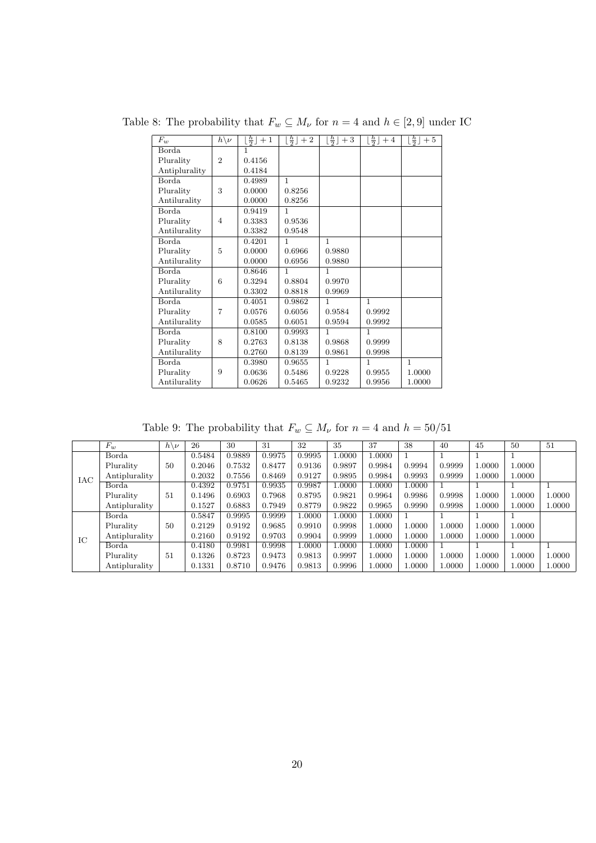Table 8: The probability that  $F_w \subseteq M_\nu$  for  $n=4$  and  $h \in [2,9]$  under IC

| $F_w$         | $\bar{h}\backslash \nu$ | $\frac{h}{2}$ + 1 | $\lfloor \frac{h}{2} \rfloor + 2$ | $\lfloor \frac{h}{2} \rfloor + 3$ | $\lfloor \frac{h}{2} \rfloor + 4$ | $\lfloor \frac{h}{2} \rfloor$<br>$+5$ |
|---------------|-------------------------|-------------------|-----------------------------------|-----------------------------------|-----------------------------------|---------------------------------------|
| Borda         |                         | 1                 |                                   |                                   |                                   |                                       |
| Plurality     | $\overline{2}$          | 0.4156            |                                   |                                   |                                   |                                       |
| Antiplurality |                         | 0.4184            |                                   |                                   |                                   |                                       |
| Borda         |                         | 0.4989            | 1                                 |                                   |                                   |                                       |
| Plurality     | 3                       | 0.0000            | 0.8256                            |                                   |                                   |                                       |
| Antilurality  |                         | 0.0000            | 0.8256                            |                                   |                                   |                                       |
| Borda         |                         | 0.9419            | 1                                 |                                   |                                   |                                       |
| Plurality     | $\overline{4}$          | 0.3383            | 0.9536                            |                                   |                                   |                                       |
| Antilurality  |                         | 0.3382            | 0.9548                            |                                   |                                   |                                       |
| Borda         |                         | 0.4201            | 1                                 | 1                                 |                                   |                                       |
| Plurality     | 5                       | 0.0000            | 0.6966                            | 0.9880                            |                                   |                                       |
| Antilurality  |                         | 0.0000            | 0.6956                            | 0.9880                            |                                   |                                       |
| Borda         |                         | 0.8646            | 1                                 | 1                                 |                                   |                                       |
| Plurality     | 6                       | 0.3294            | 0.8804                            | 0.9970                            |                                   |                                       |
| Antilurality  |                         | 0.3302            | 0.8818                            | 0.9969                            |                                   |                                       |
| Borda         |                         | 0.4051            | 0.9862                            | 1                                 | $\mathbf{1}$                      |                                       |
| Plurality     | 7                       | 0.0576            | 0.6056                            | 0.9584                            | 0.9992                            |                                       |
| Antilurality  |                         | 0.0585            | 0.6051                            | 0.9594                            | 0.9992                            |                                       |
| Borda         |                         | 0.8100            | 0.9993                            | 1                                 | $\mathbf{1}$                      |                                       |
| Plurality     | 8                       | 0.2763            | 0.8138                            | 0.9868                            | 0.9999                            |                                       |
| Antilurality  |                         | 0.2760            | 0.8139                            | 0.9861                            | 0.9998                            |                                       |
| Borda         |                         | 0.3980            | 0.9655                            | 1                                 | $\mathbf{1}$                      | $\mathbf{1}$                          |
| Plurality     | 9                       | 0.0636            | 0.5486                            | 0.9228                            | 0.9955                            | 1.0000                                |
| Antilurality  |                         | 0.0626            | 0.5465                            | 0.9232                            | 0.9956                            | 1.0000                                |

Table 9: The probability that  $F_w \subseteq M_\nu$  for  $n=4$  and  $h=50/51$ 

|     | $F_w$         | $h\backslash \nu$ | 26     | 30     | -31    | 32     | 35     | 37     | 38     | 40     | 45     | 50     | 51     |
|-----|---------------|-------------------|--------|--------|--------|--------|--------|--------|--------|--------|--------|--------|--------|
|     | Borda         |                   | 0.5484 | 0.9889 | 0.9975 | 0.9995 | 1.0000 | 1.0000 |        |        |        |        |        |
|     | Plurality     | $50^{\circ}$      | 0.2046 | 0.7532 | 0.8477 | 0.9136 | 0.9897 | 0.9984 | 0.9994 | 0.9999 | 1.0000 | 1.0000 |        |
| IAC | Antiplurality |                   | 0.2032 | 0.7556 | 0.8469 | 0.9127 | 0.9895 | 0.9984 | 0.9993 | 0.9999 | 1.0000 | 1.0000 |        |
|     | Borda         |                   | 0.4392 | 0.9751 | 0.9935 | 0.9987 | 1.0000 | 1.0000 | 1.0000 |        |        |        |        |
|     | Plurality     | 51                | 0.1496 | 0.6903 | 0.7968 | 0.8795 | 0.9821 | 0.9964 | 0.9986 | 0.9998 | 1.0000 | 1.0000 | 1.0000 |
|     | Antiplurality |                   | 0.1527 | 0.6883 | 0.7949 | 0.8779 | 0.9822 | 0.9965 | 0.9990 | 0.9998 | 1.0000 | 1.0000 | 1.0000 |
|     | Borda         |                   | 0.5847 | 0.9995 | 0.9999 | 1.0000 | 1.0000 | 1.0000 |        |        |        |        |        |
|     | Plurality     | $50^{\circ}$      | 0.2129 | 0.9192 | 0.9685 | 0.9910 | 0.9998 | 1.0000 | 1.0000 | 1.0000 | 1.0000 | 1.0000 |        |
| IC  | Antiplurality |                   | 0.2160 | 0.9192 | 0.9703 | 0.9904 | 0.9999 | 1.0000 | 1.0000 | 1.0000 | 1.0000 | 1.0000 |        |
|     | Borda         |                   | 0.4180 | 0.9981 | 0.9998 | 1.0000 | 1.0000 | .0000  | 1.0000 |        |        |        |        |
|     | Plurality     | 51                | 0.1326 | 0.8723 | 0.9473 | 0.9813 | 0.9997 | 1.0000 | 1.0000 | 1.0000 | 1.0000 | 1.0000 | 1.0000 |
|     | Antiplurality |                   | 0.1331 | 0.8710 | 0.9476 | 0.9813 | 0.9996 | 1.0000 | 1.0000 | 1.0000 | 1.0000 | 1.0000 | 1.0000 |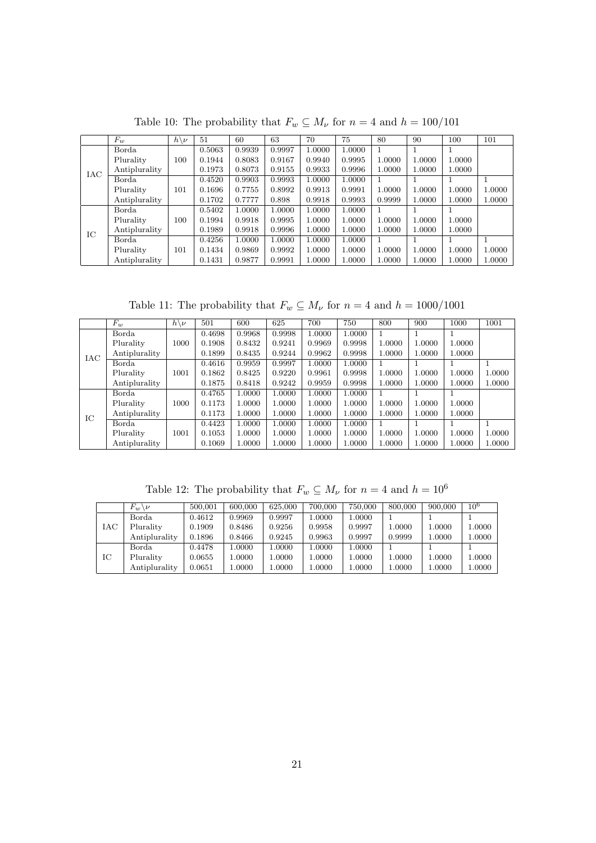|            | $F_w$         | $h\backslash \nu$ | 51     | 60     | 63     | 70     | 75     | 80     | 90           | 100    | 101    |
|------------|---------------|-------------------|--------|--------|--------|--------|--------|--------|--------------|--------|--------|
|            | Borda         |                   | 0.5063 | 0.9939 | 0.9997 | 1.0000 | 1.0000 |        |              |        |        |
|            | Plurality     | 100               | 0.1944 | 0.8083 | 0.9167 | 0.9940 | 0.9995 | 1.0000 | 1.0000       | 1.0000 |        |
| <b>IAC</b> | Antiplurality |                   | 0.1973 | 0.8073 | 0.9155 | 0.9933 | 0.9996 | 1.0000 | 1.0000       | 1.0000 |        |
|            | Borda         |                   | 0.4520 | 0.9903 | 0.9993 | 1.0000 | 1.0000 |        | 1.           |        |        |
|            | Plurality     | 101               | 0.1696 | 0.7755 | 0.8992 | 0.9913 | 0.9991 | 1.0000 | 1.0000       | 1.0000 | 1.0000 |
|            | Antiplurality |                   | 0.1702 | 0.7777 | 0.898  | 0.9918 | 0.9993 | 0.9999 | 1.0000       | 1.0000 | 1.0000 |
|            | Borda         |                   | 0.5402 | 1.0000 | 1.0000 | 1.0000 | 1.0000 |        |              |        |        |
|            | Plurality     | 100               | 0.1994 | 0.9918 | 0.9995 | 1.0000 | 1.0000 | 1.0000 | 1.0000       | 1.0000 |        |
| IC         | Antiplurality |                   | 0.1989 | 0.9918 | 0.9996 | 1.0000 | 1.0000 | 1.0000 | 1.0000       | 1.0000 |        |
|            | Borda         |                   | 0.4256 | 1.0000 | 1.0000 | 1.0000 | 1.0000 |        | $\mathbf{1}$ |        |        |
|            | Plurality     | 101               | 0.1434 | 0.9869 | 0.9992 | 1.0000 | 1.0000 | 1.0000 | 1.0000       | 1.0000 | 1.0000 |
|            | Antiplurality |                   | 0.1431 | 0.9877 | 0.9991 | 1.0000 | 1.0000 | 1.0000 | 1.0000       | 1.0000 | 1.0000 |

Table 10: The probability that  $F_w \subseteq M_\nu$  for  $n=4$  and  $h=100/101$ 

Table 11: The probability that  $F_w \subseteq M_\nu$  for  $n=4$  and  $h=1000/1001$ 

|     | $F_w$         | $h\backslash \nu$ | 501    | 600    | 625    | 700    | 750    | 800    | 900    | 1000   | 1001         |
|-----|---------------|-------------------|--------|--------|--------|--------|--------|--------|--------|--------|--------------|
|     | Borda         |                   | 0.4698 | 0.9968 | 0.9998 | 1.0000 | 1.0000 |        |        |        |              |
|     | Plurality     | 1000              | 0.1908 | 0.8432 | 0.9241 | 0.9969 | 0.9998 | 1.0000 | 1.0000 | 1.0000 |              |
| IAC | Antiplurality |                   | 0.1899 | 0.8435 | 0.9244 | 0.9962 | 0.9998 | 1.0000 | 1.0000 | 1.0000 |              |
|     | Borda         |                   | 0.4616 | 0.9959 | 0.9997 | 1.0000 | 1.0000 |        | -1     |        | $\mathbf{1}$ |
|     | Plurality     | 1001              | 0.1862 | 0.8425 | 0.9220 | 0.9961 | 0.9998 | 1.0000 | 1.0000 | 1.0000 | 1.0000       |
|     | Antiplurality |                   | 0.1875 | 0.8418 | 0.9242 | 0.9959 | 0.9998 | 1.0000 | 1.0000 | 1.0000 | 1.0000       |
|     | Borda         |                   | 0.4765 | 1.0000 | 1.0000 | 1.0000 | 1.0000 |        |        |        |              |
|     | Plurality     | 1000              | 0.1173 | 1.0000 | 1.0000 | 1.0000 | 1.0000 | 1.0000 | 1.0000 | 1.0000 |              |
| IC  | Antiplurality |                   | 0.1173 | 1.0000 | 1.0000 | 1.0000 | 1.0000 | 1.0000 | 1.0000 | 1.0000 |              |
|     | Borda         |                   | 0.4423 | 1.0000 | 1.0000 | 1.0000 | 1.0000 |        | 1.     |        |              |
|     | Plurality     | 1001              | 0.1053 | 1.0000 | 1.0000 | 1.0000 | 1.0000 | 1.0000 | 1.0000 | 1.0000 | 1.0000       |
|     | Antiplurality |                   | 0.1069 | 1.0000 | 1.0000 | 1.0000 | 1.0000 | 1.0000 | 1.0000 | 1.0000 | 1.0000       |

Table 12: The probability that  $F_w \subseteq M_{\nu}$  for  $n = 4$  and  $h = 10^6$ 

|     | $F_w \backslash \nu$ | 500.001 | 600,000 | 625,000 | 700,000 | 750,000 | 800,000 | 900,000 | $10^{6}$ |
|-----|----------------------|---------|---------|---------|---------|---------|---------|---------|----------|
|     | Borda                | 0.4612  | 0.9969  | 0.9997  | 1.0000  | .0000   |         |         |          |
| IAC | Plurality            | 0.1909  | 0.8486  | 0.9256  | 0.9958  | 0.9997  | 1.0000  | 1.0000  | .0000    |
|     | Antiplurality        | 0.1896  | 0.8466  | 0.9245  | 0.9963  | 0.9997  | 0.9999  | 1.0000  | .0000    |
|     | Borda                | 0.4478  | 1.0000  | 1.0000  | 1.0000  | .0000   |         |         |          |
| IC  | Plurality            | 0.0655  | 1.0000  | 1.0000  | 1.0000  | 0000    | 1.0000  | 1.0000  | .0000    |
|     | Antiplurality        | 0.0651  | 0000    | 1.0000  | 1.0000  | .0000   | 1.0000  | 1.0000  | 1.0000   |